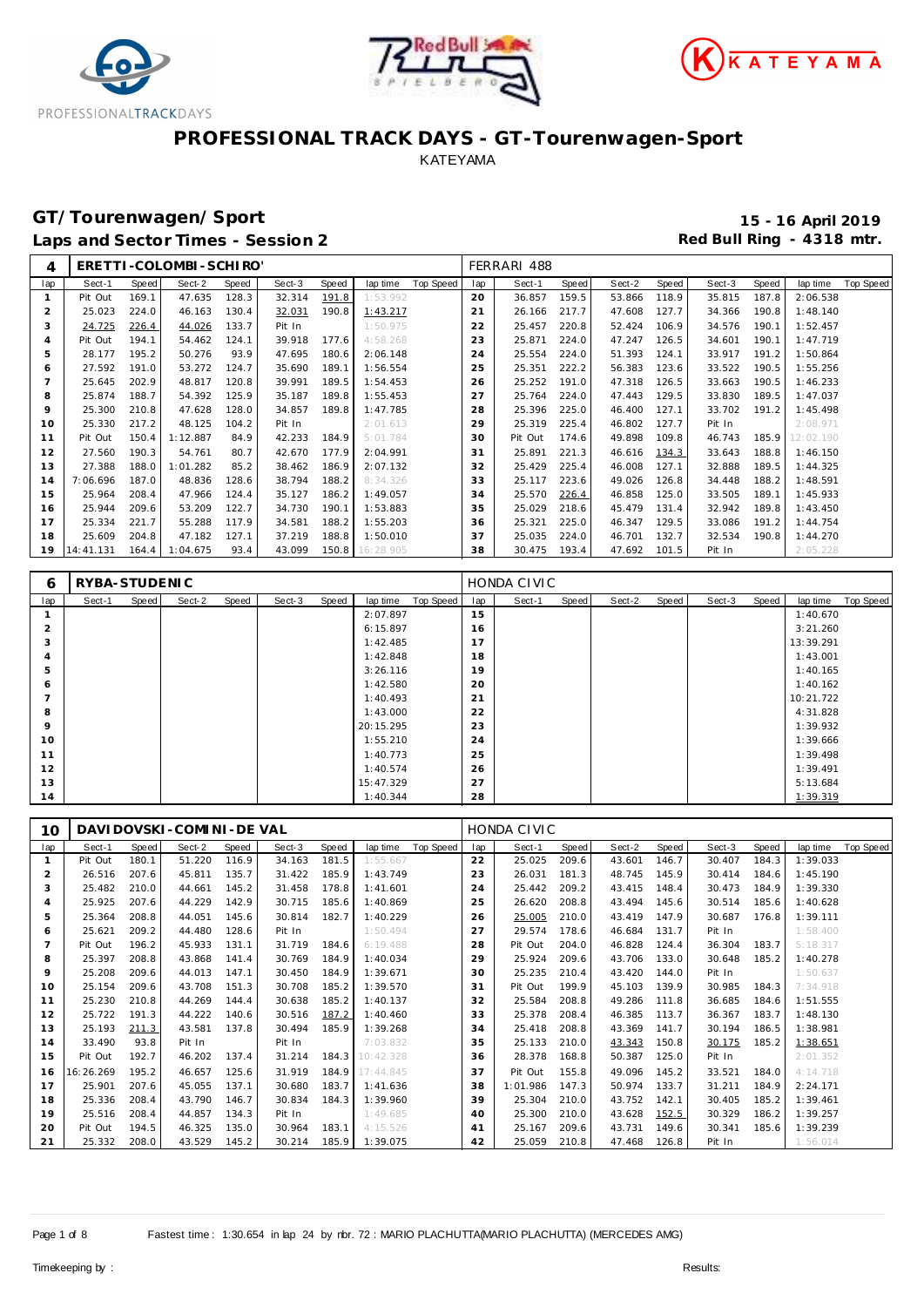





# **GT/Tourenwagen/Sport 15 - 16 April 2019**

Laps and Sector Times - Session 2 **Red Bull Ring - 4318 mtr.** And Sector Times - Session 2

| 4              |           |              | ERETTI-COLOMBI-SCHIRO' |       |        |       |           |           |     | FERRARI 488 |       |        |       |        |              |           |           |
|----------------|-----------|--------------|------------------------|-------|--------|-------|-----------|-----------|-----|-------------|-------|--------|-------|--------|--------------|-----------|-----------|
| lap            | Sect-1    | <b>Speed</b> | Sect-2                 | Speed | Sect-3 | Speed | lap time  | Top Speed | lap | Sect-1      | Speed | Sect-2 | Speed | Sect-3 | <b>Speed</b> | lap time  | Top Speed |
| $\mathbf{1}$   | Pit Out   | 169.1        | 47.635                 | 128.3 | 32.314 | 191.8 | 1:53.992  |           | 20  | 36.857      | 159.5 | 53.866 | 118.9 | 35.815 | 187.8        | 2:06.538  |           |
| $\overline{2}$ | 25.023    | 224.0        | 46.163                 | 130.4 | 32.031 | 190.8 | 1:43.217  |           | 21  | 26.166      | 217.7 | 47.608 | 127.7 | 34.366 | 190.8        | 1:48.140  |           |
| 3              | 24.725    | 226.4        | 44.026                 | 133.7 | Pit In |       | 1:50.975  |           | 22  | 25.457      | 220.8 | 52.424 | 106.9 | 34.576 | 190.1        | 1:52.457  |           |
| $\overline{4}$ | Pit Out   | 194.1        | 54.462                 | 124.1 | 39.918 | 177.6 | 4:58.268  |           | 23  | 25.871      | 224.0 | 47.247 | 126.5 | 34.601 | 190.1        | 1:47.719  |           |
| 5              | 28.177    | 195.2        | 50.276                 | 93.9  | 47.695 | 180.6 | 2:06.148  |           | 24  | 25.554      | 224.0 | 51.393 | 124.1 | 33.917 | 191.2        | 1:50.864  |           |
| 6              | 27.592    | 191.0        | 53.272                 | 124.7 | 35.690 | 189.1 | 1:56.554  |           | 25  | 25.351      | 222.2 | 56.383 | 123.6 | 33.522 | 190.5        | 1:55.256  |           |
| 7              | 25.645    | 202.9        | 48.817                 | 120.8 | 39.991 | 189.5 | 1:54.453  |           | 26  | 25.252      | 191.0 | 47.318 | 126.5 | 33.663 | 190.5        | 1:46.233  |           |
| 8              | 25.874    | 188.7        | 54.392                 | 125.9 | 35.187 | 189.8 | 1:55.453  |           | 27  | 25.764      | 224.0 | 47.443 | 129.5 | 33.830 | 189.5        | 1:47.037  |           |
| $\circ$        | 25.300    | 210.8        | 47.628                 | 128.0 | 34.857 | 189.8 | 1:47.785  |           | 28  | 25.396      | 225.0 | 46.400 | 127.1 | 33.702 | 191.2        | 1:45.498  |           |
| 10             | 25.330    | 217.2        | 48.125                 | 104.2 | Pit In |       | 2:01.613  |           | 29  | 25.319      | 225.4 | 46.802 | 127.7 | Pit In |              | 2:08.971  |           |
| 11             | Pit Out   | 150.4        | 1:12.887               | 84.9  | 42.233 | 184.9 | 5:01.784  |           | 30  | Pit Out     | 174.6 | 49.898 | 109.8 | 46.743 | 185.9        | 12:02.190 |           |
| 12             | 27.560    | 190.3        | 54.761                 | 80.7  | 42.670 | 177.9 | 2:04.991  |           | 31  | 25.891      | 221.3 | 46.616 | 134.3 | 33.643 | 188.8        | 1:46.150  |           |
| 13             | 27.388    | 188.0        | 1:01.282               | 85.2  | 38.462 | 186.9 | 2:07.132  |           | 32  | 25.429      | 225.4 | 46.008 | 127.1 | 32.888 | 189.5        | 1:44.325  |           |
| 14             | 7:06.696  | 187.0        | 48.836                 | 128.6 | 38.794 | 188.2 | 8:34.326  |           | 33  | 25.117      | 223.6 | 49.026 | 126.8 | 34.448 | 188.2        | 1:48.591  |           |
| 15             | 25.964    | 208.4        | 47.966                 | 124.4 | 35.127 | 186.2 | 1:49.057  |           | 34  | 25.570      | 226.4 | 46.858 | 125.0 | 33.505 | 189.1        | 1:45.933  |           |
| 16             | 25.944    | 209.6        | 53.209                 | 122.7 | 34.730 | 190.1 | 1:53.883  |           | 35  | 25.029      | 218.6 | 45.479 | 131.4 | 32.942 | 189.8        | 1:43.450  |           |
| 17             | 25.334    | 221.7        | 55.288                 | 117.9 | 34.581 | 188.2 | 1:55.203  |           | 36  | 25.321      | 225.0 | 46.347 | 129.5 | 33.086 | 191.2        | 1:44.754  |           |
| 18             | 25.609    | 204.8        | 47.182                 | 127.1 | 37.219 | 188.8 | 1:50.010  |           | 37  | 25.035      | 224.0 | 46.701 | 132.7 | 32.534 | 190.8        | 1:44.270  |           |
| 19             | 14:41.131 | 164.4        | 1:04.675               | 93.4  | 43.099 | 150.8 | 16:28.905 |           | 38  | 30.475      | 193.4 | 47.692 | 101.5 | Pit In |              | 2:05.228  |           |

| 6              | RYBA-STUDENIC |       |        |       |        |       |           |           |     | HONDA CIVIC |       |        |       |        |       |           |           |
|----------------|---------------|-------|--------|-------|--------|-------|-----------|-----------|-----|-------------|-------|--------|-------|--------|-------|-----------|-----------|
| lap            | Sect-1        | Speed | Sect-2 | Speed | Sect-3 | Speed | lap time  | Top Speed | lap | Sect-1      | Speed | Sect-2 | Speed | Sect-3 | Speed | lap time  | Top Speed |
|                |               |       |        |       |        |       | 2:07.897  |           | 15  |             |       |        |       |        |       | 1:40.670  |           |
| $\overline{2}$ |               |       |        |       |        |       | 6:15.897  |           | 16  |             |       |        |       |        |       | 3:21.260  |           |
| 3              |               |       |        |       |        |       | 1:42.485  |           | 17  |             |       |        |       |        |       | 13:39.291 |           |
| 4              |               |       |        |       |        |       | 1:42.848  |           | 18  |             |       |        |       |        |       | 1:43.001  |           |
| 5              |               |       |        |       |        |       | 3:26.116  |           | 19  |             |       |        |       |        |       | 1:40.165  |           |
| 6              |               |       |        |       |        |       | 1:42.580  |           | 20  |             |       |        |       |        |       | 1:40.162  |           |
| -              |               |       |        |       |        |       | 1:40.493  |           | 21  |             |       |        |       |        |       | 10:21.722 |           |
| 8              |               |       |        |       |        |       | 1:43.000  |           | 22  |             |       |        |       |        |       | 4:31.828  |           |
| 9              |               |       |        |       |        |       | 20:15.295 |           | 23  |             |       |        |       |        |       | 1:39.932  |           |
| 10             |               |       |        |       |        |       | 1:55.210  |           | 24  |             |       |        |       |        |       | 1:39.666  |           |
| 11             |               |       |        |       |        |       | 1:40.773  |           | 25  |             |       |        |       |        |       | 1:39.498  |           |
| 12             |               |       |        |       |        |       | 1:40.574  |           | 26  |             |       |        |       |        |       | 1:39.491  |           |
| 13             |               |       |        |       |        |       | 15:47.329 |           | 27  |             |       |        |       |        |       | 5:13.684  |           |
| 14             |               |       |        |       |        |       | 1:40.344  |           | 28  |             |       |        |       |        |       | 1:39.319  |           |

| 10             |           |       | DAVI DOVSKI - COMI NI - DE VAL |       |        |       |                 |           |     | HONDA CIVIC |       |        |       |        |       |          |           |
|----------------|-----------|-------|--------------------------------|-------|--------|-------|-----------------|-----------|-----|-------------|-------|--------|-------|--------|-------|----------|-----------|
| lap            | Sect-1    | Speed | Sect-2                         | Speed | Sect-3 | Speed | lap time        | Top Speed | lap | Sect-1      | Speed | Sect-2 | Speed | Sect-3 | Speed | lap time | Top Speed |
|                | Pit Out   | 180.1 | 51.220                         | 116.9 | 34.163 | 181.5 | 1:55.667        |           | 22  | 25.025      | 209.6 | 43.601 | 146.7 | 30.407 | 184.3 | 1:39.033 |           |
| $\overline{2}$ | 26.516    | 207.6 | 45.811                         | 135.7 | 31.422 | 185.9 | 1:43.749        |           | 23  | 26.031      | 181.3 | 48.745 | 145.9 | 30.414 | 184.6 | 1:45.190 |           |
| 3              | 25.482    | 210.0 | 44.661                         | 145.2 | 31.458 | 178.8 | 1:41.601        |           | 24  | 25.442      | 209.2 | 43.415 | 148.4 | 30.473 | 184.9 | 1:39.330 |           |
| 4              | 25.925    | 207.6 | 44.229                         | 142.9 | 30.715 | 185.6 | 1:40.869        |           | 25  | 26.620      | 208.8 | 43.494 | 145.6 | 30.514 | 185.6 | 1:40.628 |           |
| 5              | 25.364    | 208.8 | 44.051                         | 145.6 | 30.814 | 182.7 | 1:40.229        |           | 26  | 25.005      | 210.0 | 43.419 | 147.9 | 30.687 | 176.8 | 1:39.111 |           |
| 6              | 25.621    | 209.2 | 44.480                         | 128.6 | Pit In |       | 1:50.494        |           | 27  | 29.574      | 178.6 | 46.684 | 131.7 | Pit In |       | 1:58.400 |           |
|                | Pit Out   | 196.2 | 45.933                         | 131.1 | 31.719 | 184.6 | 6:19.488        |           | 28  | Pit Out     | 204.0 | 46.828 | 124.4 | 36.304 | 183.7 | 5:18.317 |           |
| 8              | 25.397    | 208.8 | 43.868                         | 141.4 | 30.769 | 184.9 | 1:40.034        |           | 29  | 25.924      | 209.6 | 43.706 | 133.0 | 30.648 | 185.2 | 1:40.278 |           |
| 9              | 25.208    | 209.6 | 44.013                         | 147.1 | 30.450 | 184.9 | 1:39.671        |           | 30  | 25.235      | 210.4 | 43.420 | 144.0 | Pit In |       | 1:50.637 |           |
| 10             | 25.154    | 209.6 | 43.708                         | 151.3 | 30.708 | 185.2 | 1:39.570        |           | 31  | Pit Out     | 199.9 | 45.103 | 139.9 | 30.985 | 184.3 | 7:34.918 |           |
| 11             | 25.230    | 210.8 | 44.269                         | 144.4 | 30.638 | 185.2 | 1:40.137        |           | 32  | 25.584      | 208.8 | 49.286 | 111.8 | 36.685 | 184.6 | 1:51.555 |           |
| 12             | 25.722    | 191.3 | 44.222                         | 140.6 | 30.516 | 187.2 | 1:40.460        |           | 33  | 25.378      | 208.4 | 46.385 | 113.7 | 36.367 | 183.7 | 1:48.130 |           |
| 13             | 25.193    | 211.3 | 43.581                         | 137.8 | 30.494 | 185.9 | 1:39.268        |           | 34  | 25.418      | 208.8 | 43.369 | 141.7 | 30.194 | 186.5 | 1:38.981 |           |
| 14             | 33.490    | 93.8  | Pit In                         |       | Pit In |       | 7:03.832        |           | 35  | 25.133      | 210.0 | 43.343 | 150.8 | 30.175 | 185.2 | 1:38.651 |           |
| 15             | Pit Out   | 192.7 | 46.202                         | 137.4 | 31.214 |       | 184.3 10:42.328 |           | 36  | 28.378      | 168.8 | 50.387 | 125.0 | Pit In |       | 2:01.352 |           |
| 16             | 16:26.269 | 195.2 | 46.657                         | 125.6 | 31.919 |       | 184.9 17:44.845 |           | 37  | Pit Out     | 155.8 | 49.096 | 145.2 | 33.521 | 184.0 | 4:14.718 |           |
| 17             | 25.901    | 207.6 | 45.055                         | 137.1 | 30.680 | 183.7 | 1:41.636        |           | 38  | 1:01.986    | 147.3 | 50.974 | 133.7 | 31.211 | 184.9 | 2:24.171 |           |
| 18             | 25.336    | 208.4 | 43.790                         | 146.7 | 30.834 | 184.3 | 1:39.960        |           | 39  | 25.304      | 210.0 | 43.752 | 142.1 | 30.405 | 185.2 | 1:39.461 |           |
| 19             | 25.516    | 208.4 | 44.857                         | 134.3 | Pit In |       | 1:49.685        |           | 40  | 25.300      | 210.0 | 43.628 | 152.5 | 30.329 | 186.2 | 1:39.257 |           |
| 20             | Pit Out   | 194.5 | 46.325                         | 135.0 | 30.964 | 183.1 | 4:15.526        |           | 41  | 25.167      | 209.6 | 43.731 | 149.6 | 30.341 | 185.6 | 1:39.239 |           |
| 21             | 25.332    | 208.0 | 43.529                         | 145.2 | 30.214 | 185.9 | 1:39.075        |           | 42  | 25.059      | 210.8 | 47.468 | 126.8 | Pit In |       | 1:56.014 |           |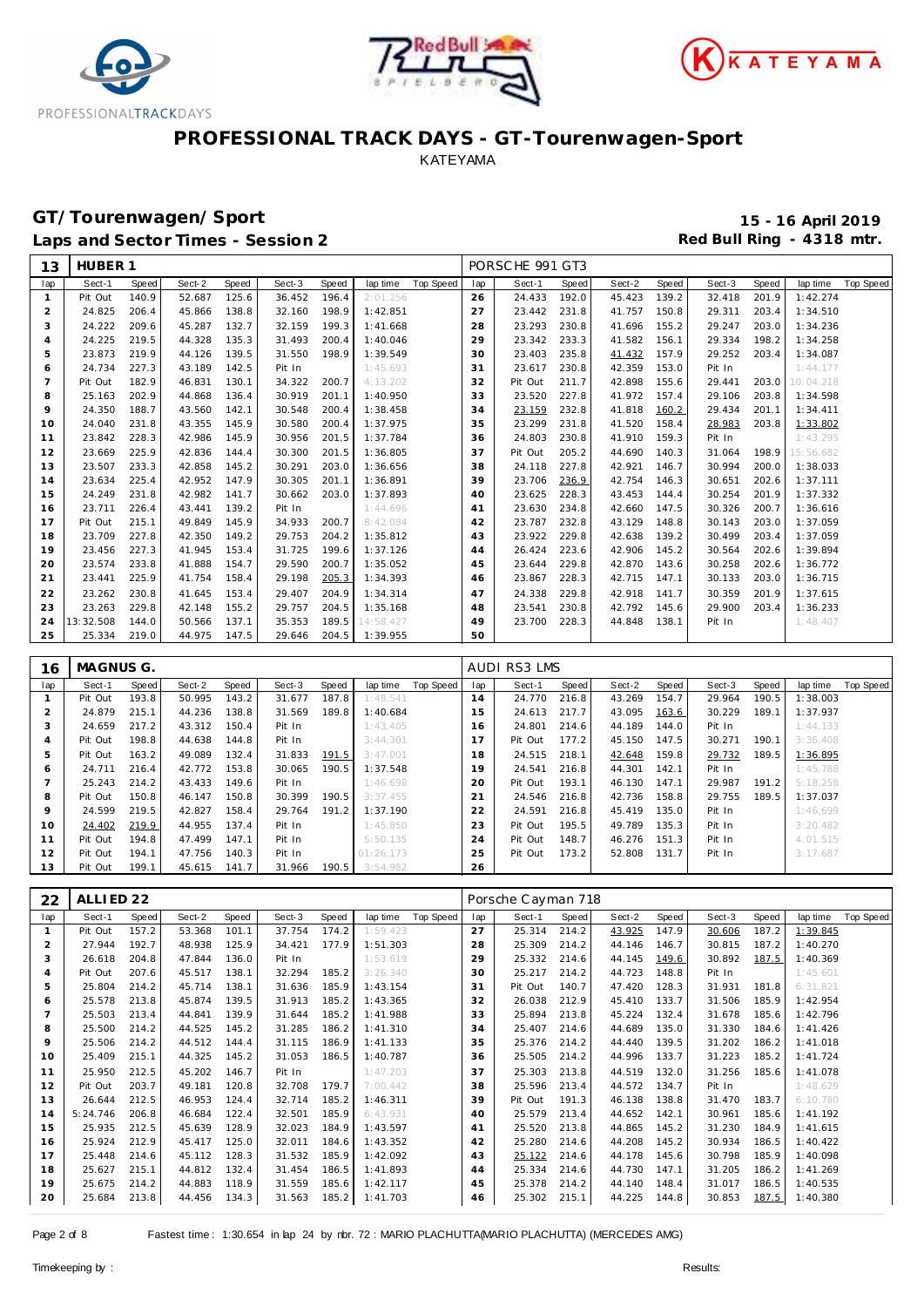





### **GT/Tourenwagen/Sport 15 - 16 April 2019**

Laps and Sector Times - Session 2 *Red Bull Ring - 4318 mtr.* 

| Top Speed<br>Sect-1<br>Speed<br>Sect-2<br>Speed<br>Sect-3<br>Speed<br>lap time<br>Sect-1<br>Speed<br>Sect-2<br>Speed<br>Sect-3<br>lap time<br>lap<br>lap<br>Speed<br>125.6<br>36.452<br>196.4<br>26<br>192.0<br>139.2<br>201.9<br>Pit Out<br>140.9<br>52.687<br>2:01.256<br>24.433<br>45.423<br>32.418<br>1:42.274<br>1<br>$\overline{c}$<br>198.9<br>231.8<br>24.825<br>206.4<br>45.866<br>138.8<br>32.160<br>1:42.851<br>27<br>23.442<br>41.757<br>150.8<br>29.311<br>203.4<br>1:34.510<br>3<br>24.222<br>132.7<br>199.3<br>23.293<br>230.8<br>41.696<br>155.2<br>203.0<br>209.6<br>45.287<br>32.159<br>1:41.668<br>28<br>29.247<br>1:34.236<br>24.225<br>200.4<br>29<br>233.3<br>41.582<br>219.5<br>44.328<br>135.3<br>31.493<br>1:40.046<br>23.342<br>156.1<br>29.334<br>198.2<br>1:34.258<br>4<br>23.873<br>219.9<br>139.5<br>198.9<br>23.403<br>235.8<br>41.432<br>157.9<br>29.252<br>203.4<br>5<br>44.126<br>31.550<br>1:39.549<br>30<br>1:34.087<br>230.8<br>42.359<br>Pit In<br>24.734<br>227.3<br>43.189<br>142.5<br>Pit In<br>1:45.693<br>31<br>23.617<br>153.0<br>1:44.177<br>6<br>$\overline{7}$<br>200.7<br>211.7<br>42.898<br>203.0<br>Pit Out<br>182.9<br>46.831<br>130.1<br>34.322<br>4:13.202<br>32<br>Pit Out<br>155.6<br>29.441<br>10:04.218<br>30.919<br>201.1<br>1:40.950<br>227.8<br>41.972<br>8<br>25.163<br>202.9<br>44.868<br>136.4<br>33<br>23.520<br>157.4<br>29.106<br>203.8<br>1:34.598<br>9<br>200.4<br>23.159<br>232.8<br>160.2<br>24.350<br>188.7<br>43.560<br>142.1<br>30.548<br>1:38.458<br>34<br>41.818<br>29.434<br>201.1<br>1:34.411<br>23.299<br>231.8<br>24.040<br>231.8<br>43.355<br>145.9<br>30.580<br>200.4<br>1:37.975<br>35<br>41.520<br>158.4<br>28.983<br>203.8<br>1:33.802<br>10<br>201.5<br>230.8<br>159.3<br>1:43.295<br>11<br>23.842<br>228.3<br>42.986<br>145.9<br>30.956<br>1:37.784<br>36<br>24.803<br>41.910<br>Pit In<br>30.300<br>201.5<br>Pit Out<br>205.2<br>140.3<br>12<br>23.669<br>225.9<br>42.836<br>144.4<br>1:36.805<br>37<br>44.690<br>31.064<br>198.9<br>15:56.682<br>203.0<br>227.8<br>146.7<br>200.0<br>13<br>23.507<br>233.3<br>42.858<br>145.2<br>30.291<br>1:36.656<br>38<br>24.118<br>42.921<br>30.994<br>1:38.033<br>23.706<br>236.9<br>42.754<br>23.634<br>225.4<br>42.952<br>147.9<br>30.305<br>201.1<br>1:36.891<br>39<br>146.3<br>30.651<br>202.6<br>1:37.111<br>14<br>228.3<br>15<br>24.249<br>231.8<br>42.982<br>141.7<br>30.662<br>203.0<br>1:37.893<br>40<br>23.625<br>43.453<br>144.4<br>30.254<br>201.9<br>1:37.332<br>23.711<br>23.630<br>234.8<br>147.5<br>30.326<br>226.4<br>43.441<br>139.2<br>Pit In<br>1:44.696<br>42.660<br>200.7<br>1:36.616<br>16<br>41<br>232.8<br>17<br>Pit Out<br>215.1<br>49.849<br>145.9<br>34.933<br>200.7<br>8:42.084<br>42<br>23.787<br>43.129<br>148.8<br>30.143<br>203.0<br>1:37.059<br>23.709<br>29.753<br>23.922<br>229.8<br>139.2<br>18<br>227.8<br>42.350<br>149.2<br>204.2<br>1:35.812<br>42.638<br>30.499<br>203.4<br>1:37.059<br>43<br>145.2<br>19<br>23.456<br>227.3<br>41.945<br>153.4<br>31.725<br>199.6<br>1:37.126<br>26.424<br>223.6<br>42.906<br>30.564<br>202.6<br>1:39.894<br>44<br>23.574<br>29.590<br>229.8<br>143.6<br>20<br>233.8<br>41.888<br>154.7<br>200.7<br>1:35.052<br>45<br>23.644<br>42.870<br>30.258<br>202.6<br>1:36.772<br>228.3<br>21<br>23.441<br>225.9<br>41.754<br>158.4<br>29.198<br>205.3<br>1:34.393<br>23.867<br>42.715<br>147.1<br>30.133<br>203.0<br>1:36.715<br>46<br>29.407<br>204.9<br>229.8<br>42.918<br>141.7<br>30.359<br>201.9<br>22<br>23.262<br>230.8<br>41.645<br>153.4<br>1:34.314<br>24.338<br>1:37.615<br>47<br>204.5<br>230.8<br>203.4<br>23<br>23.263<br>229.8<br>42.148<br>155.2<br>29.757<br>1:35.168<br>23.541<br>42.792<br>145.6<br>29.900<br>1:36.233<br>48<br>13:32.508<br>35.353<br>189.5<br>24<br>144.0<br>50.566<br>137.1<br>14:58.427<br>49<br>23.700<br>228.3<br>44.848<br>138.1<br>1:48.407<br>Pit In<br>204.5<br>25<br>25.334<br>219.0<br>44.975<br>147.5<br>29.646<br>1:39.955<br>50<br>MAGNUS G.<br><b>AUDI RS3 LMS</b><br>16<br>Top Speed<br>lap<br>Sect-1<br>Speed<br>Sect-2<br>Speed<br>Sect-3<br>Speed<br>lap time<br>Sect-1<br>Speed<br>Sect-2<br>Speed<br>Sect-3<br>lap time<br>lap<br>Speed<br>193.8<br>50.995<br>143.2<br>31.677<br>187.8<br>24.770<br>216.8<br>43.269<br>154.7<br>29.964<br>190.5<br>1:38.003<br>$\mathbf{1}$<br>Pit Out<br>1:48.541<br>14<br>$\overline{c}$<br>189.8<br>43.095<br>24.879<br>215.1<br>44.236<br>138.8<br>31.569<br>1:40.684<br>15<br>24.613<br>217.7<br>163.6<br>30.229<br>189.1<br>1:37.937<br>44.189<br>3<br>24.659<br>217.2<br>43.312<br>150.4<br>Pit In<br>1:43.405<br>24.801<br>214.6<br>144.0<br>Pit In<br>1:44.133<br>16<br>177.2<br>Pit Out<br>198.8<br>44.638<br>144.8<br>Pit In<br>3:44.301<br>17<br>Pit Out<br>45.150<br>147.5<br>30.271<br>190.1<br>3:36.408<br>4<br>218.1<br>159.8<br>5<br>Pit Out<br>163.2<br>49.089<br>132.4<br>31.833<br>191.5<br>3:47.001<br>18<br>24.515<br>42.648<br>29.732<br>189.5<br>1:36.895<br>24.711<br>30.065<br>24.541<br>216.8<br>44.301<br>142.1<br>216.4<br>42.772<br>153.8<br>190.5<br>1:37.548<br>19<br>Pit In<br>1:45.788<br>6<br>193.1<br>147.1<br>$\overline{7}$<br>25.243<br>214.2<br>43.433<br>149.6<br>Pit In<br>1:46.698<br>20<br>Pit Out<br>46.130<br>29.987<br>191.2<br>5:18.258<br>158.8<br>8<br>Pit Out<br>150.8<br>46.147<br>150.8<br>30.399<br>190.5<br>3:37.455<br>21<br>24.546<br>216.8<br>42.736<br>29.755<br>189.5<br>1:37.037<br>29.764<br>191.2<br>135.0<br>Pit In<br>9<br>24.599<br>219.5<br>42.827<br>158.4<br>1:37.190<br>22<br>24.591<br>216.8<br>45.419<br>1:46.699<br>195.5<br>49.789<br>135.3<br>Pit In<br>24.402<br>219.9<br>44.955<br>137.4<br>Pit In<br>1:45.850<br>23<br>Pit Out<br>3:20.482<br>10<br>151.3<br>Pit Out<br>194.8<br>47.499<br>147.1<br>Pit In<br>5:50.135<br>24<br>Pit Out<br>148.7<br>46.276<br>Pit In<br>4:01.515<br>11<br>Pit Out<br>194.1<br>47.756<br>140.3<br>Pit In<br>01:26.173<br>25<br>Pit Out<br>173.2<br>52.808<br>131.7<br>Pit In<br>12<br>3:17.687<br>13<br>Pit Out<br>199.1<br>45.615<br>141.7<br>31.966<br>190.5<br>3:54.982<br>26<br>ALLIED <sub>22</sub><br>22<br>Porsche Cayman 718<br>Top Speed<br>Sect-1<br>Sect-2<br>Speed<br>Sect-3<br>Speed<br>lap<br>Sect-1<br>Speed<br>Sect-2<br>Speed<br>Sect-3<br>lap<br>Speed<br>lap time<br>Speed<br>lap time<br>157.2<br>101.1<br>37.754<br>174.2<br>27<br>214.2<br>43.925<br>147.9<br>30.606<br>187.2<br>1:39.845<br>$\mathbf{1}$<br>Pit Out<br>53.368<br>1:59.423<br>25.314<br>192.7<br>2<br>27.944<br>48.938<br>125.9<br>34.421<br>177.9<br>1:51.303<br>28<br>25.309<br>214.2<br>146.7<br>30.815<br>187.2<br>1:40.270<br>44.146<br>26.618<br>204.8<br>47.844<br>136.0<br>Pit In<br>29<br>25.332 214.6<br>44.145<br>149.6<br>30.892 187.5<br>1:40.369<br>3<br>1:53.619<br>4<br>Pit Out<br>207.6<br>45.517 138.1<br>32.294<br>3:26.340<br>30<br>25.217 214.2<br>44.723 148.8<br>Pit In<br>1:45.601<br>185.2<br>25.804<br>185.9<br>Pit Out<br>140.7<br>47.420<br>128.3<br>31.931<br>6:31.821<br>5<br>214.2<br>45.714<br>138.1<br>31.636<br>1:43.154<br>31<br>181.8<br>45.874<br>31.913<br>26.038<br>45.410 133.7<br>1:42.954<br>25.578<br>213.8<br>139.5<br>185.2<br>1:43.365<br>32<br>212.9<br>31.506<br>185.9<br>6<br>$\overline{7}$<br>25.503<br>44.841<br>139.9<br>185.2<br>25.894<br>213.8<br>45.224<br>132.4<br>31.678<br>1:42.796<br>213.4<br>31.644<br>1:41.988<br>33<br>185.6<br>25.500<br>44.525<br>31.285<br>25.407 214.6<br>44.689 135.0<br>31.330<br>8<br>214.2<br>145.2<br>186.2<br>1:41.310<br>34<br>184.6<br>1:41.426<br>9<br>25.506<br>31.115<br>186.9<br>25.376 214.2<br>44.440 139.5<br>31.202<br>1:41.018<br>214.2<br>44.512<br>144.4<br>1:41.133<br>35<br>186.2<br>25.409<br>44.325<br>31.053<br>186.5<br>25.505<br>44.996 133.7<br>31.223<br>10<br>215.1<br>145.2<br>1:40.787<br>214.2<br>185.2<br>1:41.724<br>36<br>25.950<br>212.5<br>45.202<br>146.7<br>Pit In<br>1:47.203<br>37<br>25.303<br>213.8<br>44.519 132.0<br>31.256<br>185.6<br>1:41.078<br>11<br>25.596 213.4<br>1:48.629<br>12<br>Pit Out<br>203.7<br>49.181 120.8<br>32.708 179.7<br>7:00.442<br>38<br>44.572 134.7<br>Pit In | 13 | HUBER 1 |  |  |  |  | PORSCHE 991 GT3 |  |  |  |           |
|------------------------------------------------------------------------------------------------------------------------------------------------------------------------------------------------------------------------------------------------------------------------------------------------------------------------------------------------------------------------------------------------------------------------------------------------------------------------------------------------------------------------------------------------------------------------------------------------------------------------------------------------------------------------------------------------------------------------------------------------------------------------------------------------------------------------------------------------------------------------------------------------------------------------------------------------------------------------------------------------------------------------------------------------------------------------------------------------------------------------------------------------------------------------------------------------------------------------------------------------------------------------------------------------------------------------------------------------------------------------------------------------------------------------------------------------------------------------------------------------------------------------------------------------------------------------------------------------------------------------------------------------------------------------------------------------------------------------------------------------------------------------------------------------------------------------------------------------------------------------------------------------------------------------------------------------------------------------------------------------------------------------------------------------------------------------------------------------------------------------------------------------------------------------------------------------------------------------------------------------------------------------------------------------------------------------------------------------------------------------------------------------------------------------------------------------------------------------------------------------------------------------------------------------------------------------------------------------------------------------------------------------------------------------------------------------------------------------------------------------------------------------------------------------------------------------------------------------------------------------------------------------------------------------------------------------------------------------------------------------------------------------------------------------------------------------------------------------------------------------------------------------------------------------------------------------------------------------------------------------------------------------------------------------------------------------------------------------------------------------------------------------------------------------------------------------------------------------------------------------------------------------------------------------------------------------------------------------------------------------------------------------------------------------------------------------------------------------------------------------------------------------------------------------------------------------------------------------------------------------------------------------------------------------------------------------------------------------------------------------------------------------------------------------------------------------------------------------------------------------------------------------------------------------------------------------------------------------------------------------------------------------------------------------------------------------------------------------------------------------------------------------------------------------------------------------------------------------------------------------------------------------------------------------------------------------------------------------------------------------------------------------------------------------------------------------------------------------------------------------------------------------------------------------------------------------------------------------------------------------------------------------------------------------------------------------------------------------------------------------------------------------------------------------------------------------------------------------------------------------------------------------------------------------------------------------------------------------------------------------------------------------------------------------------------------------------------------------------------------------------------------------------------------------------------------------------------------------------------------------------------------------------------------------------------------------------------------------------------------------------------------------------------------------------------------------------------------------------------------------------------------------------------------------------------------------------------------------------------------------------------------------------------------------------------------------------------------------------------------------------------------------------------------------------------------------------------------------------------------------------------------------------------------------------------------------------------------------------------------------------------------------------------------------------------------------------------------------------------------------------------------------------------------------------------------------------------------------------------------------------------------------------------------------------------------------------------------------------------------------------------------------------------------------------------------------------------------------------------------------------------------------------------------------------------------------------------------------------------------------------------------------------------------------------------------------------------------------------------------------------------------------------------------------------------------------------------------------------------------------------------------------------------------------------------------------------------------------------------------------------------------------------------------------------------------------------------------------------------------------------------------------------------------------------------------------------------------------------------------------------------------------------------------------------------------------------------------------------------------------------------------------------------------------------------------------------------------------------------------------------------------------------------------------------------------------------------------------------------------------------------------------------------------------------------------------------------------------------------------------------------------------------------------------------------------------------------------------------------------------|----|---------|--|--|--|--|-----------------|--|--|--|-----------|
|                                                                                                                                                                                                                                                                                                                                                                                                                                                                                                                                                                                                                                                                                                                                                                                                                                                                                                                                                                                                                                                                                                                                                                                                                                                                                                                                                                                                                                                                                                                                                                                                                                                                                                                                                                                                                                                                                                                                                                                                                                                                                                                                                                                                                                                                                                                                                                                                                                                                                                                                                                                                                                                                                                                                                                                                                                                                                                                                                                                                                                                                                                                                                                                                                                                                                                                                                                                                                                                                                                                                                                                                                                                                                                                                                                                                                                                                                                                                                                                                                                                                                                                                                                                                                                                                                                                                                                                                                                                                                                                                                                                                                                                                                                                                                                                                                                                                                                                                                                                                                                                                                                                                                                                                                                                                                                                                                                                                                                                                                                                                                                                                                                                                                                                                                                                                                                                                                                                                                                                                                                                                                                                                                                                                                                                                                                                                                                                                                                                                                                                                                                                                                                                                                                                                                                                                                                                                                                                                                                                                                                                                                                                                                                                                                                                                                                                                                                                                                                                                                                                                                                                                                                                                                                                                                                                                                                                                                                                                                                                                                                                                                                                        |    |         |  |  |  |  |                 |  |  |  | Top Speed |
|                                                                                                                                                                                                                                                                                                                                                                                                                                                                                                                                                                                                                                                                                                                                                                                                                                                                                                                                                                                                                                                                                                                                                                                                                                                                                                                                                                                                                                                                                                                                                                                                                                                                                                                                                                                                                                                                                                                                                                                                                                                                                                                                                                                                                                                                                                                                                                                                                                                                                                                                                                                                                                                                                                                                                                                                                                                                                                                                                                                                                                                                                                                                                                                                                                                                                                                                                                                                                                                                                                                                                                                                                                                                                                                                                                                                                                                                                                                                                                                                                                                                                                                                                                                                                                                                                                                                                                                                                                                                                                                                                                                                                                                                                                                                                                                                                                                                                                                                                                                                                                                                                                                                                                                                                                                                                                                                                                                                                                                                                                                                                                                                                                                                                                                                                                                                                                                                                                                                                                                                                                                                                                                                                                                                                                                                                                                                                                                                                                                                                                                                                                                                                                                                                                                                                                                                                                                                                                                                                                                                                                                                                                                                                                                                                                                                                                                                                                                                                                                                                                                                                                                                                                                                                                                                                                                                                                                                                                                                                                                                                                                                                                                        |    |         |  |  |  |  |                 |  |  |  |           |
|                                                                                                                                                                                                                                                                                                                                                                                                                                                                                                                                                                                                                                                                                                                                                                                                                                                                                                                                                                                                                                                                                                                                                                                                                                                                                                                                                                                                                                                                                                                                                                                                                                                                                                                                                                                                                                                                                                                                                                                                                                                                                                                                                                                                                                                                                                                                                                                                                                                                                                                                                                                                                                                                                                                                                                                                                                                                                                                                                                                                                                                                                                                                                                                                                                                                                                                                                                                                                                                                                                                                                                                                                                                                                                                                                                                                                                                                                                                                                                                                                                                                                                                                                                                                                                                                                                                                                                                                                                                                                                                                                                                                                                                                                                                                                                                                                                                                                                                                                                                                                                                                                                                                                                                                                                                                                                                                                                                                                                                                                                                                                                                                                                                                                                                                                                                                                                                                                                                                                                                                                                                                                                                                                                                                                                                                                                                                                                                                                                                                                                                                                                                                                                                                                                                                                                                                                                                                                                                                                                                                                                                                                                                                                                                                                                                                                                                                                                                                                                                                                                                                                                                                                                                                                                                                                                                                                                                                                                                                                                                                                                                                                                                        |    |         |  |  |  |  |                 |  |  |  |           |
|                                                                                                                                                                                                                                                                                                                                                                                                                                                                                                                                                                                                                                                                                                                                                                                                                                                                                                                                                                                                                                                                                                                                                                                                                                                                                                                                                                                                                                                                                                                                                                                                                                                                                                                                                                                                                                                                                                                                                                                                                                                                                                                                                                                                                                                                                                                                                                                                                                                                                                                                                                                                                                                                                                                                                                                                                                                                                                                                                                                                                                                                                                                                                                                                                                                                                                                                                                                                                                                                                                                                                                                                                                                                                                                                                                                                                                                                                                                                                                                                                                                                                                                                                                                                                                                                                                                                                                                                                                                                                                                                                                                                                                                                                                                                                                                                                                                                                                                                                                                                                                                                                                                                                                                                                                                                                                                                                                                                                                                                                                                                                                                                                                                                                                                                                                                                                                                                                                                                                                                                                                                                                                                                                                                                                                                                                                                                                                                                                                                                                                                                                                                                                                                                                                                                                                                                                                                                                                                                                                                                                                                                                                                                                                                                                                                                                                                                                                                                                                                                                                                                                                                                                                                                                                                                                                                                                                                                                                                                                                                                                                                                                                                        |    |         |  |  |  |  |                 |  |  |  |           |
|                                                                                                                                                                                                                                                                                                                                                                                                                                                                                                                                                                                                                                                                                                                                                                                                                                                                                                                                                                                                                                                                                                                                                                                                                                                                                                                                                                                                                                                                                                                                                                                                                                                                                                                                                                                                                                                                                                                                                                                                                                                                                                                                                                                                                                                                                                                                                                                                                                                                                                                                                                                                                                                                                                                                                                                                                                                                                                                                                                                                                                                                                                                                                                                                                                                                                                                                                                                                                                                                                                                                                                                                                                                                                                                                                                                                                                                                                                                                                                                                                                                                                                                                                                                                                                                                                                                                                                                                                                                                                                                                                                                                                                                                                                                                                                                                                                                                                                                                                                                                                                                                                                                                                                                                                                                                                                                                                                                                                                                                                                                                                                                                                                                                                                                                                                                                                                                                                                                                                                                                                                                                                                                                                                                                                                                                                                                                                                                                                                                                                                                                                                                                                                                                                                                                                                                                                                                                                                                                                                                                                                                                                                                                                                                                                                                                                                                                                                                                                                                                                                                                                                                                                                                                                                                                                                                                                                                                                                                                                                                                                                                                                                                        |    |         |  |  |  |  |                 |  |  |  |           |
|                                                                                                                                                                                                                                                                                                                                                                                                                                                                                                                                                                                                                                                                                                                                                                                                                                                                                                                                                                                                                                                                                                                                                                                                                                                                                                                                                                                                                                                                                                                                                                                                                                                                                                                                                                                                                                                                                                                                                                                                                                                                                                                                                                                                                                                                                                                                                                                                                                                                                                                                                                                                                                                                                                                                                                                                                                                                                                                                                                                                                                                                                                                                                                                                                                                                                                                                                                                                                                                                                                                                                                                                                                                                                                                                                                                                                                                                                                                                                                                                                                                                                                                                                                                                                                                                                                                                                                                                                                                                                                                                                                                                                                                                                                                                                                                                                                                                                                                                                                                                                                                                                                                                                                                                                                                                                                                                                                                                                                                                                                                                                                                                                                                                                                                                                                                                                                                                                                                                                                                                                                                                                                                                                                                                                                                                                                                                                                                                                                                                                                                                                                                                                                                                                                                                                                                                                                                                                                                                                                                                                                                                                                                                                                                                                                                                                                                                                                                                                                                                                                                                                                                                                                                                                                                                                                                                                                                                                                                                                                                                                                                                                                                        |    |         |  |  |  |  |                 |  |  |  |           |
|                                                                                                                                                                                                                                                                                                                                                                                                                                                                                                                                                                                                                                                                                                                                                                                                                                                                                                                                                                                                                                                                                                                                                                                                                                                                                                                                                                                                                                                                                                                                                                                                                                                                                                                                                                                                                                                                                                                                                                                                                                                                                                                                                                                                                                                                                                                                                                                                                                                                                                                                                                                                                                                                                                                                                                                                                                                                                                                                                                                                                                                                                                                                                                                                                                                                                                                                                                                                                                                                                                                                                                                                                                                                                                                                                                                                                                                                                                                                                                                                                                                                                                                                                                                                                                                                                                                                                                                                                                                                                                                                                                                                                                                                                                                                                                                                                                                                                                                                                                                                                                                                                                                                                                                                                                                                                                                                                                                                                                                                                                                                                                                                                                                                                                                                                                                                                                                                                                                                                                                                                                                                                                                                                                                                                                                                                                                                                                                                                                                                                                                                                                                                                                                                                                                                                                                                                                                                                                                                                                                                                                                                                                                                                                                                                                                                                                                                                                                                                                                                                                                                                                                                                                                                                                                                                                                                                                                                                                                                                                                                                                                                                                                        |    |         |  |  |  |  |                 |  |  |  |           |
|                                                                                                                                                                                                                                                                                                                                                                                                                                                                                                                                                                                                                                                                                                                                                                                                                                                                                                                                                                                                                                                                                                                                                                                                                                                                                                                                                                                                                                                                                                                                                                                                                                                                                                                                                                                                                                                                                                                                                                                                                                                                                                                                                                                                                                                                                                                                                                                                                                                                                                                                                                                                                                                                                                                                                                                                                                                                                                                                                                                                                                                                                                                                                                                                                                                                                                                                                                                                                                                                                                                                                                                                                                                                                                                                                                                                                                                                                                                                                                                                                                                                                                                                                                                                                                                                                                                                                                                                                                                                                                                                                                                                                                                                                                                                                                                                                                                                                                                                                                                                                                                                                                                                                                                                                                                                                                                                                                                                                                                                                                                                                                                                                                                                                                                                                                                                                                                                                                                                                                                                                                                                                                                                                                                                                                                                                                                                                                                                                                                                                                                                                                                                                                                                                                                                                                                                                                                                                                                                                                                                                                                                                                                                                                                                                                                                                                                                                                                                                                                                                                                                                                                                                                                                                                                                                                                                                                                                                                                                                                                                                                                                                                                        |    |         |  |  |  |  |                 |  |  |  |           |
|                                                                                                                                                                                                                                                                                                                                                                                                                                                                                                                                                                                                                                                                                                                                                                                                                                                                                                                                                                                                                                                                                                                                                                                                                                                                                                                                                                                                                                                                                                                                                                                                                                                                                                                                                                                                                                                                                                                                                                                                                                                                                                                                                                                                                                                                                                                                                                                                                                                                                                                                                                                                                                                                                                                                                                                                                                                                                                                                                                                                                                                                                                                                                                                                                                                                                                                                                                                                                                                                                                                                                                                                                                                                                                                                                                                                                                                                                                                                                                                                                                                                                                                                                                                                                                                                                                                                                                                                                                                                                                                                                                                                                                                                                                                                                                                                                                                                                                                                                                                                                                                                                                                                                                                                                                                                                                                                                                                                                                                                                                                                                                                                                                                                                                                                                                                                                                                                                                                                                                                                                                                                                                                                                                                                                                                                                                                                                                                                                                                                                                                                                                                                                                                                                                                                                                                                                                                                                                                                                                                                                                                                                                                                                                                                                                                                                                                                                                                                                                                                                                                                                                                                                                                                                                                                                                                                                                                                                                                                                                                                                                                                                                                        |    |         |  |  |  |  |                 |  |  |  |           |
|                                                                                                                                                                                                                                                                                                                                                                                                                                                                                                                                                                                                                                                                                                                                                                                                                                                                                                                                                                                                                                                                                                                                                                                                                                                                                                                                                                                                                                                                                                                                                                                                                                                                                                                                                                                                                                                                                                                                                                                                                                                                                                                                                                                                                                                                                                                                                                                                                                                                                                                                                                                                                                                                                                                                                                                                                                                                                                                                                                                                                                                                                                                                                                                                                                                                                                                                                                                                                                                                                                                                                                                                                                                                                                                                                                                                                                                                                                                                                                                                                                                                                                                                                                                                                                                                                                                                                                                                                                                                                                                                                                                                                                                                                                                                                                                                                                                                                                                                                                                                                                                                                                                                                                                                                                                                                                                                                                                                                                                                                                                                                                                                                                                                                                                                                                                                                                                                                                                                                                                                                                                                                                                                                                                                                                                                                                                                                                                                                                                                                                                                                                                                                                                                                                                                                                                                                                                                                                                                                                                                                                                                                                                                                                                                                                                                                                                                                                                                                                                                                                                                                                                                                                                                                                                                                                                                                                                                                                                                                                                                                                                                                                                        |    |         |  |  |  |  |                 |  |  |  |           |
|                                                                                                                                                                                                                                                                                                                                                                                                                                                                                                                                                                                                                                                                                                                                                                                                                                                                                                                                                                                                                                                                                                                                                                                                                                                                                                                                                                                                                                                                                                                                                                                                                                                                                                                                                                                                                                                                                                                                                                                                                                                                                                                                                                                                                                                                                                                                                                                                                                                                                                                                                                                                                                                                                                                                                                                                                                                                                                                                                                                                                                                                                                                                                                                                                                                                                                                                                                                                                                                                                                                                                                                                                                                                                                                                                                                                                                                                                                                                                                                                                                                                                                                                                                                                                                                                                                                                                                                                                                                                                                                                                                                                                                                                                                                                                                                                                                                                                                                                                                                                                                                                                                                                                                                                                                                                                                                                                                                                                                                                                                                                                                                                                                                                                                                                                                                                                                                                                                                                                                                                                                                                                                                                                                                                                                                                                                                                                                                                                                                                                                                                                                                                                                                                                                                                                                                                                                                                                                                                                                                                                                                                                                                                                                                                                                                                                                                                                                                                                                                                                                                                                                                                                                                                                                                                                                                                                                                                                                                                                                                                                                                                                                                        |    |         |  |  |  |  |                 |  |  |  |           |
|                                                                                                                                                                                                                                                                                                                                                                                                                                                                                                                                                                                                                                                                                                                                                                                                                                                                                                                                                                                                                                                                                                                                                                                                                                                                                                                                                                                                                                                                                                                                                                                                                                                                                                                                                                                                                                                                                                                                                                                                                                                                                                                                                                                                                                                                                                                                                                                                                                                                                                                                                                                                                                                                                                                                                                                                                                                                                                                                                                                                                                                                                                                                                                                                                                                                                                                                                                                                                                                                                                                                                                                                                                                                                                                                                                                                                                                                                                                                                                                                                                                                                                                                                                                                                                                                                                                                                                                                                                                                                                                                                                                                                                                                                                                                                                                                                                                                                                                                                                                                                                                                                                                                                                                                                                                                                                                                                                                                                                                                                                                                                                                                                                                                                                                                                                                                                                                                                                                                                                                                                                                                                                                                                                                                                                                                                                                                                                                                                                                                                                                                                                                                                                                                                                                                                                                                                                                                                                                                                                                                                                                                                                                                                                                                                                                                                                                                                                                                                                                                                                                                                                                                                                                                                                                                                                                                                                                                                                                                                                                                                                                                                                                        |    |         |  |  |  |  |                 |  |  |  |           |
|                                                                                                                                                                                                                                                                                                                                                                                                                                                                                                                                                                                                                                                                                                                                                                                                                                                                                                                                                                                                                                                                                                                                                                                                                                                                                                                                                                                                                                                                                                                                                                                                                                                                                                                                                                                                                                                                                                                                                                                                                                                                                                                                                                                                                                                                                                                                                                                                                                                                                                                                                                                                                                                                                                                                                                                                                                                                                                                                                                                                                                                                                                                                                                                                                                                                                                                                                                                                                                                                                                                                                                                                                                                                                                                                                                                                                                                                                                                                                                                                                                                                                                                                                                                                                                                                                                                                                                                                                                                                                                                                                                                                                                                                                                                                                                                                                                                                                                                                                                                                                                                                                                                                                                                                                                                                                                                                                                                                                                                                                                                                                                                                                                                                                                                                                                                                                                                                                                                                                                                                                                                                                                                                                                                                                                                                                                                                                                                                                                                                                                                                                                                                                                                                                                                                                                                                                                                                                                                                                                                                                                                                                                                                                                                                                                                                                                                                                                                                                                                                                                                                                                                                                                                                                                                                                                                                                                                                                                                                                                                                                                                                                                                        |    |         |  |  |  |  |                 |  |  |  |           |
|                                                                                                                                                                                                                                                                                                                                                                                                                                                                                                                                                                                                                                                                                                                                                                                                                                                                                                                                                                                                                                                                                                                                                                                                                                                                                                                                                                                                                                                                                                                                                                                                                                                                                                                                                                                                                                                                                                                                                                                                                                                                                                                                                                                                                                                                                                                                                                                                                                                                                                                                                                                                                                                                                                                                                                                                                                                                                                                                                                                                                                                                                                                                                                                                                                                                                                                                                                                                                                                                                                                                                                                                                                                                                                                                                                                                                                                                                                                                                                                                                                                                                                                                                                                                                                                                                                                                                                                                                                                                                                                                                                                                                                                                                                                                                                                                                                                                                                                                                                                                                                                                                                                                                                                                                                                                                                                                                                                                                                                                                                                                                                                                                                                                                                                                                                                                                                                                                                                                                                                                                                                                                                                                                                                                                                                                                                                                                                                                                                                                                                                                                                                                                                                                                                                                                                                                                                                                                                                                                                                                                                                                                                                                                                                                                                                                                                                                                                                                                                                                                                                                                                                                                                                                                                                                                                                                                                                                                                                                                                                                                                                                                                                        |    |         |  |  |  |  |                 |  |  |  |           |
|                                                                                                                                                                                                                                                                                                                                                                                                                                                                                                                                                                                                                                                                                                                                                                                                                                                                                                                                                                                                                                                                                                                                                                                                                                                                                                                                                                                                                                                                                                                                                                                                                                                                                                                                                                                                                                                                                                                                                                                                                                                                                                                                                                                                                                                                                                                                                                                                                                                                                                                                                                                                                                                                                                                                                                                                                                                                                                                                                                                                                                                                                                                                                                                                                                                                                                                                                                                                                                                                                                                                                                                                                                                                                                                                                                                                                                                                                                                                                                                                                                                                                                                                                                                                                                                                                                                                                                                                                                                                                                                                                                                                                                                                                                                                                                                                                                                                                                                                                                                                                                                                                                                                                                                                                                                                                                                                                                                                                                                                                                                                                                                                                                                                                                                                                                                                                                                                                                                                                                                                                                                                                                                                                                                                                                                                                                                                                                                                                                                                                                                                                                                                                                                                                                                                                                                                                                                                                                                                                                                                                                                                                                                                                                                                                                                                                                                                                                                                                                                                                                                                                                                                                                                                                                                                                                                                                                                                                                                                                                                                                                                                                                                        |    |         |  |  |  |  |                 |  |  |  |           |
|                                                                                                                                                                                                                                                                                                                                                                                                                                                                                                                                                                                                                                                                                                                                                                                                                                                                                                                                                                                                                                                                                                                                                                                                                                                                                                                                                                                                                                                                                                                                                                                                                                                                                                                                                                                                                                                                                                                                                                                                                                                                                                                                                                                                                                                                                                                                                                                                                                                                                                                                                                                                                                                                                                                                                                                                                                                                                                                                                                                                                                                                                                                                                                                                                                                                                                                                                                                                                                                                                                                                                                                                                                                                                                                                                                                                                                                                                                                                                                                                                                                                                                                                                                                                                                                                                                                                                                                                                                                                                                                                                                                                                                                                                                                                                                                                                                                                                                                                                                                                                                                                                                                                                                                                                                                                                                                                                                                                                                                                                                                                                                                                                                                                                                                                                                                                                                                                                                                                                                                                                                                                                                                                                                                                                                                                                                                                                                                                                                                                                                                                                                                                                                                                                                                                                                                                                                                                                                                                                                                                                                                                                                                                                                                                                                                                                                                                                                                                                                                                                                                                                                                                                                                                                                                                                                                                                                                                                                                                                                                                                                                                                                                        |    |         |  |  |  |  |                 |  |  |  |           |
|                                                                                                                                                                                                                                                                                                                                                                                                                                                                                                                                                                                                                                                                                                                                                                                                                                                                                                                                                                                                                                                                                                                                                                                                                                                                                                                                                                                                                                                                                                                                                                                                                                                                                                                                                                                                                                                                                                                                                                                                                                                                                                                                                                                                                                                                                                                                                                                                                                                                                                                                                                                                                                                                                                                                                                                                                                                                                                                                                                                                                                                                                                                                                                                                                                                                                                                                                                                                                                                                                                                                                                                                                                                                                                                                                                                                                                                                                                                                                                                                                                                                                                                                                                                                                                                                                                                                                                                                                                                                                                                                                                                                                                                                                                                                                                                                                                                                                                                                                                                                                                                                                                                                                                                                                                                                                                                                                                                                                                                                                                                                                                                                                                                                                                                                                                                                                                                                                                                                                                                                                                                                                                                                                                                                                                                                                                                                                                                                                                                                                                                                                                                                                                                                                                                                                                                                                                                                                                                                                                                                                                                                                                                                                                                                                                                                                                                                                                                                                                                                                                                                                                                                                                                                                                                                                                                                                                                                                                                                                                                                                                                                                                                        |    |         |  |  |  |  |                 |  |  |  |           |
|                                                                                                                                                                                                                                                                                                                                                                                                                                                                                                                                                                                                                                                                                                                                                                                                                                                                                                                                                                                                                                                                                                                                                                                                                                                                                                                                                                                                                                                                                                                                                                                                                                                                                                                                                                                                                                                                                                                                                                                                                                                                                                                                                                                                                                                                                                                                                                                                                                                                                                                                                                                                                                                                                                                                                                                                                                                                                                                                                                                                                                                                                                                                                                                                                                                                                                                                                                                                                                                                                                                                                                                                                                                                                                                                                                                                                                                                                                                                                                                                                                                                                                                                                                                                                                                                                                                                                                                                                                                                                                                                                                                                                                                                                                                                                                                                                                                                                                                                                                                                                                                                                                                                                                                                                                                                                                                                                                                                                                                                                                                                                                                                                                                                                                                                                                                                                                                                                                                                                                                                                                                                                                                                                                                                                                                                                                                                                                                                                                                                                                                                                                                                                                                                                                                                                                                                                                                                                                                                                                                                                                                                                                                                                                                                                                                                                                                                                                                                                                                                                                                                                                                                                                                                                                                                                                                                                                                                                                                                                                                                                                                                                                                        |    |         |  |  |  |  |                 |  |  |  |           |
|                                                                                                                                                                                                                                                                                                                                                                                                                                                                                                                                                                                                                                                                                                                                                                                                                                                                                                                                                                                                                                                                                                                                                                                                                                                                                                                                                                                                                                                                                                                                                                                                                                                                                                                                                                                                                                                                                                                                                                                                                                                                                                                                                                                                                                                                                                                                                                                                                                                                                                                                                                                                                                                                                                                                                                                                                                                                                                                                                                                                                                                                                                                                                                                                                                                                                                                                                                                                                                                                                                                                                                                                                                                                                                                                                                                                                                                                                                                                                                                                                                                                                                                                                                                                                                                                                                                                                                                                                                                                                                                                                                                                                                                                                                                                                                                                                                                                                                                                                                                                                                                                                                                                                                                                                                                                                                                                                                                                                                                                                                                                                                                                                                                                                                                                                                                                                                                                                                                                                                                                                                                                                                                                                                                                                                                                                                                                                                                                                                                                                                                                                                                                                                                                                                                                                                                                                                                                                                                                                                                                                                                                                                                                                                                                                                                                                                                                                                                                                                                                                                                                                                                                                                                                                                                                                                                                                                                                                                                                                                                                                                                                                                                        |    |         |  |  |  |  |                 |  |  |  |           |
|                                                                                                                                                                                                                                                                                                                                                                                                                                                                                                                                                                                                                                                                                                                                                                                                                                                                                                                                                                                                                                                                                                                                                                                                                                                                                                                                                                                                                                                                                                                                                                                                                                                                                                                                                                                                                                                                                                                                                                                                                                                                                                                                                                                                                                                                                                                                                                                                                                                                                                                                                                                                                                                                                                                                                                                                                                                                                                                                                                                                                                                                                                                                                                                                                                                                                                                                                                                                                                                                                                                                                                                                                                                                                                                                                                                                                                                                                                                                                                                                                                                                                                                                                                                                                                                                                                                                                                                                                                                                                                                                                                                                                                                                                                                                                                                                                                                                                                                                                                                                                                                                                                                                                                                                                                                                                                                                                                                                                                                                                                                                                                                                                                                                                                                                                                                                                                                                                                                                                                                                                                                                                                                                                                                                                                                                                                                                                                                                                                                                                                                                                                                                                                                                                                                                                                                                                                                                                                                                                                                                                                                                                                                                                                                                                                                                                                                                                                                                                                                                                                                                                                                                                                                                                                                                                                                                                                                                                                                                                                                                                                                                                                                        |    |         |  |  |  |  |                 |  |  |  |           |
|                                                                                                                                                                                                                                                                                                                                                                                                                                                                                                                                                                                                                                                                                                                                                                                                                                                                                                                                                                                                                                                                                                                                                                                                                                                                                                                                                                                                                                                                                                                                                                                                                                                                                                                                                                                                                                                                                                                                                                                                                                                                                                                                                                                                                                                                                                                                                                                                                                                                                                                                                                                                                                                                                                                                                                                                                                                                                                                                                                                                                                                                                                                                                                                                                                                                                                                                                                                                                                                                                                                                                                                                                                                                                                                                                                                                                                                                                                                                                                                                                                                                                                                                                                                                                                                                                                                                                                                                                                                                                                                                                                                                                                                                                                                                                                                                                                                                                                                                                                                                                                                                                                                                                                                                                                                                                                                                                                                                                                                                                                                                                                                                                                                                                                                                                                                                                                                                                                                                                                                                                                                                                                                                                                                                                                                                                                                                                                                                                                                                                                                                                                                                                                                                                                                                                                                                                                                                                                                                                                                                                                                                                                                                                                                                                                                                                                                                                                                                                                                                                                                                                                                                                                                                                                                                                                                                                                                                                                                                                                                                                                                                                                                        |    |         |  |  |  |  |                 |  |  |  |           |
|                                                                                                                                                                                                                                                                                                                                                                                                                                                                                                                                                                                                                                                                                                                                                                                                                                                                                                                                                                                                                                                                                                                                                                                                                                                                                                                                                                                                                                                                                                                                                                                                                                                                                                                                                                                                                                                                                                                                                                                                                                                                                                                                                                                                                                                                                                                                                                                                                                                                                                                                                                                                                                                                                                                                                                                                                                                                                                                                                                                                                                                                                                                                                                                                                                                                                                                                                                                                                                                                                                                                                                                                                                                                                                                                                                                                                                                                                                                                                                                                                                                                                                                                                                                                                                                                                                                                                                                                                                                                                                                                                                                                                                                                                                                                                                                                                                                                                                                                                                                                                                                                                                                                                                                                                                                                                                                                                                                                                                                                                                                                                                                                                                                                                                                                                                                                                                                                                                                                                                                                                                                                                                                                                                                                                                                                                                                                                                                                                                                                                                                                                                                                                                                                                                                                                                                                                                                                                                                                                                                                                                                                                                                                                                                                                                                                                                                                                                                                                                                                                                                                                                                                                                                                                                                                                                                                                                                                                                                                                                                                                                                                                                                        |    |         |  |  |  |  |                 |  |  |  |           |
|                                                                                                                                                                                                                                                                                                                                                                                                                                                                                                                                                                                                                                                                                                                                                                                                                                                                                                                                                                                                                                                                                                                                                                                                                                                                                                                                                                                                                                                                                                                                                                                                                                                                                                                                                                                                                                                                                                                                                                                                                                                                                                                                                                                                                                                                                                                                                                                                                                                                                                                                                                                                                                                                                                                                                                                                                                                                                                                                                                                                                                                                                                                                                                                                                                                                                                                                                                                                                                                                                                                                                                                                                                                                                                                                                                                                                                                                                                                                                                                                                                                                                                                                                                                                                                                                                                                                                                                                                                                                                                                                                                                                                                                                                                                                                                                                                                                                                                                                                                                                                                                                                                                                                                                                                                                                                                                                                                                                                                                                                                                                                                                                                                                                                                                                                                                                                                                                                                                                                                                                                                                                                                                                                                                                                                                                                                                                                                                                                                                                                                                                                                                                                                                                                                                                                                                                                                                                                                                                                                                                                                                                                                                                                                                                                                                                                                                                                                                                                                                                                                                                                                                                                                                                                                                                                                                                                                                                                                                                                                                                                                                                                                                        |    |         |  |  |  |  |                 |  |  |  |           |
|                                                                                                                                                                                                                                                                                                                                                                                                                                                                                                                                                                                                                                                                                                                                                                                                                                                                                                                                                                                                                                                                                                                                                                                                                                                                                                                                                                                                                                                                                                                                                                                                                                                                                                                                                                                                                                                                                                                                                                                                                                                                                                                                                                                                                                                                                                                                                                                                                                                                                                                                                                                                                                                                                                                                                                                                                                                                                                                                                                                                                                                                                                                                                                                                                                                                                                                                                                                                                                                                                                                                                                                                                                                                                                                                                                                                                                                                                                                                                                                                                                                                                                                                                                                                                                                                                                                                                                                                                                                                                                                                                                                                                                                                                                                                                                                                                                                                                                                                                                                                                                                                                                                                                                                                                                                                                                                                                                                                                                                                                                                                                                                                                                                                                                                                                                                                                                                                                                                                                                                                                                                                                                                                                                                                                                                                                                                                                                                                                                                                                                                                                                                                                                                                                                                                                                                                                                                                                                                                                                                                                                                                                                                                                                                                                                                                                                                                                                                                                                                                                                                                                                                                                                                                                                                                                                                                                                                                                                                                                                                                                                                                                                                        |    |         |  |  |  |  |                 |  |  |  |           |
|                                                                                                                                                                                                                                                                                                                                                                                                                                                                                                                                                                                                                                                                                                                                                                                                                                                                                                                                                                                                                                                                                                                                                                                                                                                                                                                                                                                                                                                                                                                                                                                                                                                                                                                                                                                                                                                                                                                                                                                                                                                                                                                                                                                                                                                                                                                                                                                                                                                                                                                                                                                                                                                                                                                                                                                                                                                                                                                                                                                                                                                                                                                                                                                                                                                                                                                                                                                                                                                                                                                                                                                                                                                                                                                                                                                                                                                                                                                                                                                                                                                                                                                                                                                                                                                                                                                                                                                                                                                                                                                                                                                                                                                                                                                                                                                                                                                                                                                                                                                                                                                                                                                                                                                                                                                                                                                                                                                                                                                                                                                                                                                                                                                                                                                                                                                                                                                                                                                                                                                                                                                                                                                                                                                                                                                                                                                                                                                                                                                                                                                                                                                                                                                                                                                                                                                                                                                                                                                                                                                                                                                                                                                                                                                                                                                                                                                                                                                                                                                                                                                                                                                                                                                                                                                                                                                                                                                                                                                                                                                                                                                                                                                        |    |         |  |  |  |  |                 |  |  |  |           |
|                                                                                                                                                                                                                                                                                                                                                                                                                                                                                                                                                                                                                                                                                                                                                                                                                                                                                                                                                                                                                                                                                                                                                                                                                                                                                                                                                                                                                                                                                                                                                                                                                                                                                                                                                                                                                                                                                                                                                                                                                                                                                                                                                                                                                                                                                                                                                                                                                                                                                                                                                                                                                                                                                                                                                                                                                                                                                                                                                                                                                                                                                                                                                                                                                                                                                                                                                                                                                                                                                                                                                                                                                                                                                                                                                                                                                                                                                                                                                                                                                                                                                                                                                                                                                                                                                                                                                                                                                                                                                                                                                                                                                                                                                                                                                                                                                                                                                                                                                                                                                                                                                                                                                                                                                                                                                                                                                                                                                                                                                                                                                                                                                                                                                                                                                                                                                                                                                                                                                                                                                                                                                                                                                                                                                                                                                                                                                                                                                                                                                                                                                                                                                                                                                                                                                                                                                                                                                                                                                                                                                                                                                                                                                                                                                                                                                                                                                                                                                                                                                                                                                                                                                                                                                                                                                                                                                                                                                                                                                                                                                                                                                                                        |    |         |  |  |  |  |                 |  |  |  |           |
|                                                                                                                                                                                                                                                                                                                                                                                                                                                                                                                                                                                                                                                                                                                                                                                                                                                                                                                                                                                                                                                                                                                                                                                                                                                                                                                                                                                                                                                                                                                                                                                                                                                                                                                                                                                                                                                                                                                                                                                                                                                                                                                                                                                                                                                                                                                                                                                                                                                                                                                                                                                                                                                                                                                                                                                                                                                                                                                                                                                                                                                                                                                                                                                                                                                                                                                                                                                                                                                                                                                                                                                                                                                                                                                                                                                                                                                                                                                                                                                                                                                                                                                                                                                                                                                                                                                                                                                                                                                                                                                                                                                                                                                                                                                                                                                                                                                                                                                                                                                                                                                                                                                                                                                                                                                                                                                                                                                                                                                                                                                                                                                                                                                                                                                                                                                                                                                                                                                                                                                                                                                                                                                                                                                                                                                                                                                                                                                                                                                                                                                                                                                                                                                                                                                                                                                                                                                                                                                                                                                                                                                                                                                                                                                                                                                                                                                                                                                                                                                                                                                                                                                                                                                                                                                                                                                                                                                                                                                                                                                                                                                                                                                        |    |         |  |  |  |  |                 |  |  |  |           |
|                                                                                                                                                                                                                                                                                                                                                                                                                                                                                                                                                                                                                                                                                                                                                                                                                                                                                                                                                                                                                                                                                                                                                                                                                                                                                                                                                                                                                                                                                                                                                                                                                                                                                                                                                                                                                                                                                                                                                                                                                                                                                                                                                                                                                                                                                                                                                                                                                                                                                                                                                                                                                                                                                                                                                                                                                                                                                                                                                                                                                                                                                                                                                                                                                                                                                                                                                                                                                                                                                                                                                                                                                                                                                                                                                                                                                                                                                                                                                                                                                                                                                                                                                                                                                                                                                                                                                                                                                                                                                                                                                                                                                                                                                                                                                                                                                                                                                                                                                                                                                                                                                                                                                                                                                                                                                                                                                                                                                                                                                                                                                                                                                                                                                                                                                                                                                                                                                                                                                                                                                                                                                                                                                                                                                                                                                                                                                                                                                                                                                                                                                                                                                                                                                                                                                                                                                                                                                                                                                                                                                                                                                                                                                                                                                                                                                                                                                                                                                                                                                                                                                                                                                                                                                                                                                                                                                                                                                                                                                                                                                                                                                                                        |    |         |  |  |  |  |                 |  |  |  |           |
|                                                                                                                                                                                                                                                                                                                                                                                                                                                                                                                                                                                                                                                                                                                                                                                                                                                                                                                                                                                                                                                                                                                                                                                                                                                                                                                                                                                                                                                                                                                                                                                                                                                                                                                                                                                                                                                                                                                                                                                                                                                                                                                                                                                                                                                                                                                                                                                                                                                                                                                                                                                                                                                                                                                                                                                                                                                                                                                                                                                                                                                                                                                                                                                                                                                                                                                                                                                                                                                                                                                                                                                                                                                                                                                                                                                                                                                                                                                                                                                                                                                                                                                                                                                                                                                                                                                                                                                                                                                                                                                                                                                                                                                                                                                                                                                                                                                                                                                                                                                                                                                                                                                                                                                                                                                                                                                                                                                                                                                                                                                                                                                                                                                                                                                                                                                                                                                                                                                                                                                                                                                                                                                                                                                                                                                                                                                                                                                                                                                                                                                                                                                                                                                                                                                                                                                                                                                                                                                                                                                                                                                                                                                                                                                                                                                                                                                                                                                                                                                                                                                                                                                                                                                                                                                                                                                                                                                                                                                                                                                                                                                                                                                        |    |         |  |  |  |  |                 |  |  |  | Top Speed |
|                                                                                                                                                                                                                                                                                                                                                                                                                                                                                                                                                                                                                                                                                                                                                                                                                                                                                                                                                                                                                                                                                                                                                                                                                                                                                                                                                                                                                                                                                                                                                                                                                                                                                                                                                                                                                                                                                                                                                                                                                                                                                                                                                                                                                                                                                                                                                                                                                                                                                                                                                                                                                                                                                                                                                                                                                                                                                                                                                                                                                                                                                                                                                                                                                                                                                                                                                                                                                                                                                                                                                                                                                                                                                                                                                                                                                                                                                                                                                                                                                                                                                                                                                                                                                                                                                                                                                                                                                                                                                                                                                                                                                                                                                                                                                                                                                                                                                                                                                                                                                                                                                                                                                                                                                                                                                                                                                                                                                                                                                                                                                                                                                                                                                                                                                                                                                                                                                                                                                                                                                                                                                                                                                                                                                                                                                                                                                                                                                                                                                                                                                                                                                                                                                                                                                                                                                                                                                                                                                                                                                                                                                                                                                                                                                                                                                                                                                                                                                                                                                                                                                                                                                                                                                                                                                                                                                                                                                                                                                                                                                                                                                                                        |    |         |  |  |  |  |                 |  |  |  |           |
|                                                                                                                                                                                                                                                                                                                                                                                                                                                                                                                                                                                                                                                                                                                                                                                                                                                                                                                                                                                                                                                                                                                                                                                                                                                                                                                                                                                                                                                                                                                                                                                                                                                                                                                                                                                                                                                                                                                                                                                                                                                                                                                                                                                                                                                                                                                                                                                                                                                                                                                                                                                                                                                                                                                                                                                                                                                                                                                                                                                                                                                                                                                                                                                                                                                                                                                                                                                                                                                                                                                                                                                                                                                                                                                                                                                                                                                                                                                                                                                                                                                                                                                                                                                                                                                                                                                                                                                                                                                                                                                                                                                                                                                                                                                                                                                                                                                                                                                                                                                                                                                                                                                                                                                                                                                                                                                                                                                                                                                                                                                                                                                                                                                                                                                                                                                                                                                                                                                                                                                                                                                                                                                                                                                                                                                                                                                                                                                                                                                                                                                                                                                                                                                                                                                                                                                                                                                                                                                                                                                                                                                                                                                                                                                                                                                                                                                                                                                                                                                                                                                                                                                                                                                                                                                                                                                                                                                                                                                                                                                                                                                                                                                        |    |         |  |  |  |  |                 |  |  |  |           |
|                                                                                                                                                                                                                                                                                                                                                                                                                                                                                                                                                                                                                                                                                                                                                                                                                                                                                                                                                                                                                                                                                                                                                                                                                                                                                                                                                                                                                                                                                                                                                                                                                                                                                                                                                                                                                                                                                                                                                                                                                                                                                                                                                                                                                                                                                                                                                                                                                                                                                                                                                                                                                                                                                                                                                                                                                                                                                                                                                                                                                                                                                                                                                                                                                                                                                                                                                                                                                                                                                                                                                                                                                                                                                                                                                                                                                                                                                                                                                                                                                                                                                                                                                                                                                                                                                                                                                                                                                                                                                                                                                                                                                                                                                                                                                                                                                                                                                                                                                                                                                                                                                                                                                                                                                                                                                                                                                                                                                                                                                                                                                                                                                                                                                                                                                                                                                                                                                                                                                                                                                                                                                                                                                                                                                                                                                                                                                                                                                                                                                                                                                                                                                                                                                                                                                                                                                                                                                                                                                                                                                                                                                                                                                                                                                                                                                                                                                                                                                                                                                                                                                                                                                                                                                                                                                                                                                                                                                                                                                                                                                                                                                                                        |    |         |  |  |  |  |                 |  |  |  |           |
|                                                                                                                                                                                                                                                                                                                                                                                                                                                                                                                                                                                                                                                                                                                                                                                                                                                                                                                                                                                                                                                                                                                                                                                                                                                                                                                                                                                                                                                                                                                                                                                                                                                                                                                                                                                                                                                                                                                                                                                                                                                                                                                                                                                                                                                                                                                                                                                                                                                                                                                                                                                                                                                                                                                                                                                                                                                                                                                                                                                                                                                                                                                                                                                                                                                                                                                                                                                                                                                                                                                                                                                                                                                                                                                                                                                                                                                                                                                                                                                                                                                                                                                                                                                                                                                                                                                                                                                                                                                                                                                                                                                                                                                                                                                                                                                                                                                                                                                                                                                                                                                                                                                                                                                                                                                                                                                                                                                                                                                                                                                                                                                                                                                                                                                                                                                                                                                                                                                                                                                                                                                                                                                                                                                                                                                                                                                                                                                                                                                                                                                                                                                                                                                                                                                                                                                                                                                                                                                                                                                                                                                                                                                                                                                                                                                                                                                                                                                                                                                                                                                                                                                                                                                                                                                                                                                                                                                                                                                                                                                                                                                                                                                        |    |         |  |  |  |  |                 |  |  |  |           |
|                                                                                                                                                                                                                                                                                                                                                                                                                                                                                                                                                                                                                                                                                                                                                                                                                                                                                                                                                                                                                                                                                                                                                                                                                                                                                                                                                                                                                                                                                                                                                                                                                                                                                                                                                                                                                                                                                                                                                                                                                                                                                                                                                                                                                                                                                                                                                                                                                                                                                                                                                                                                                                                                                                                                                                                                                                                                                                                                                                                                                                                                                                                                                                                                                                                                                                                                                                                                                                                                                                                                                                                                                                                                                                                                                                                                                                                                                                                                                                                                                                                                                                                                                                                                                                                                                                                                                                                                                                                                                                                                                                                                                                                                                                                                                                                                                                                                                                                                                                                                                                                                                                                                                                                                                                                                                                                                                                                                                                                                                                                                                                                                                                                                                                                                                                                                                                                                                                                                                                                                                                                                                                                                                                                                                                                                                                                                                                                                                                                                                                                                                                                                                                                                                                                                                                                                                                                                                                                                                                                                                                                                                                                                                                                                                                                                                                                                                                                                                                                                                                                                                                                                                                                                                                                                                                                                                                                                                                                                                                                                                                                                                                                        |    |         |  |  |  |  |                 |  |  |  |           |
|                                                                                                                                                                                                                                                                                                                                                                                                                                                                                                                                                                                                                                                                                                                                                                                                                                                                                                                                                                                                                                                                                                                                                                                                                                                                                                                                                                                                                                                                                                                                                                                                                                                                                                                                                                                                                                                                                                                                                                                                                                                                                                                                                                                                                                                                                                                                                                                                                                                                                                                                                                                                                                                                                                                                                                                                                                                                                                                                                                                                                                                                                                                                                                                                                                                                                                                                                                                                                                                                                                                                                                                                                                                                                                                                                                                                                                                                                                                                                                                                                                                                                                                                                                                                                                                                                                                                                                                                                                                                                                                                                                                                                                                                                                                                                                                                                                                                                                                                                                                                                                                                                                                                                                                                                                                                                                                                                                                                                                                                                                                                                                                                                                                                                                                                                                                                                                                                                                                                                                                                                                                                                                                                                                                                                                                                                                                                                                                                                                                                                                                                                                                                                                                                                                                                                                                                                                                                                                                                                                                                                                                                                                                                                                                                                                                                                                                                                                                                                                                                                                                                                                                                                                                                                                                                                                                                                                                                                                                                                                                                                                                                                                                        |    |         |  |  |  |  |                 |  |  |  |           |
|                                                                                                                                                                                                                                                                                                                                                                                                                                                                                                                                                                                                                                                                                                                                                                                                                                                                                                                                                                                                                                                                                                                                                                                                                                                                                                                                                                                                                                                                                                                                                                                                                                                                                                                                                                                                                                                                                                                                                                                                                                                                                                                                                                                                                                                                                                                                                                                                                                                                                                                                                                                                                                                                                                                                                                                                                                                                                                                                                                                                                                                                                                                                                                                                                                                                                                                                                                                                                                                                                                                                                                                                                                                                                                                                                                                                                                                                                                                                                                                                                                                                                                                                                                                                                                                                                                                                                                                                                                                                                                                                                                                                                                                                                                                                                                                                                                                                                                                                                                                                                                                                                                                                                                                                                                                                                                                                                                                                                                                                                                                                                                                                                                                                                                                                                                                                                                                                                                                                                                                                                                                                                                                                                                                                                                                                                                                                                                                                                                                                                                                                                                                                                                                                                                                                                                                                                                                                                                                                                                                                                                                                                                                                                                                                                                                                                                                                                                                                                                                                                                                                                                                                                                                                                                                                                                                                                                                                                                                                                                                                                                                                                                                        |    |         |  |  |  |  |                 |  |  |  |           |
|                                                                                                                                                                                                                                                                                                                                                                                                                                                                                                                                                                                                                                                                                                                                                                                                                                                                                                                                                                                                                                                                                                                                                                                                                                                                                                                                                                                                                                                                                                                                                                                                                                                                                                                                                                                                                                                                                                                                                                                                                                                                                                                                                                                                                                                                                                                                                                                                                                                                                                                                                                                                                                                                                                                                                                                                                                                                                                                                                                                                                                                                                                                                                                                                                                                                                                                                                                                                                                                                                                                                                                                                                                                                                                                                                                                                                                                                                                                                                                                                                                                                                                                                                                                                                                                                                                                                                                                                                                                                                                                                                                                                                                                                                                                                                                                                                                                                                                                                                                                                                                                                                                                                                                                                                                                                                                                                                                                                                                                                                                                                                                                                                                                                                                                                                                                                                                                                                                                                                                                                                                                                                                                                                                                                                                                                                                                                                                                                                                                                                                                                                                                                                                                                                                                                                                                                                                                                                                                                                                                                                                                                                                                                                                                                                                                                                                                                                                                                                                                                                                                                                                                                                                                                                                                                                                                                                                                                                                                                                                                                                                                                                                                        |    |         |  |  |  |  |                 |  |  |  |           |
|                                                                                                                                                                                                                                                                                                                                                                                                                                                                                                                                                                                                                                                                                                                                                                                                                                                                                                                                                                                                                                                                                                                                                                                                                                                                                                                                                                                                                                                                                                                                                                                                                                                                                                                                                                                                                                                                                                                                                                                                                                                                                                                                                                                                                                                                                                                                                                                                                                                                                                                                                                                                                                                                                                                                                                                                                                                                                                                                                                                                                                                                                                                                                                                                                                                                                                                                                                                                                                                                                                                                                                                                                                                                                                                                                                                                                                                                                                                                                                                                                                                                                                                                                                                                                                                                                                                                                                                                                                                                                                                                                                                                                                                                                                                                                                                                                                                                                                                                                                                                                                                                                                                                                                                                                                                                                                                                                                                                                                                                                                                                                                                                                                                                                                                                                                                                                                                                                                                                                                                                                                                                                                                                                                                                                                                                                                                                                                                                                                                                                                                                                                                                                                                                                                                                                                                                                                                                                                                                                                                                                                                                                                                                                                                                                                                                                                                                                                                                                                                                                                                                                                                                                                                                                                                                                                                                                                                                                                                                                                                                                                                                                                                        |    |         |  |  |  |  |                 |  |  |  |           |
|                                                                                                                                                                                                                                                                                                                                                                                                                                                                                                                                                                                                                                                                                                                                                                                                                                                                                                                                                                                                                                                                                                                                                                                                                                                                                                                                                                                                                                                                                                                                                                                                                                                                                                                                                                                                                                                                                                                                                                                                                                                                                                                                                                                                                                                                                                                                                                                                                                                                                                                                                                                                                                                                                                                                                                                                                                                                                                                                                                                                                                                                                                                                                                                                                                                                                                                                                                                                                                                                                                                                                                                                                                                                                                                                                                                                                                                                                                                                                                                                                                                                                                                                                                                                                                                                                                                                                                                                                                                                                                                                                                                                                                                                                                                                                                                                                                                                                                                                                                                                                                                                                                                                                                                                                                                                                                                                                                                                                                                                                                                                                                                                                                                                                                                                                                                                                                                                                                                                                                                                                                                                                                                                                                                                                                                                                                                                                                                                                                                                                                                                                                                                                                                                                                                                                                                                                                                                                                                                                                                                                                                                                                                                                                                                                                                                                                                                                                                                                                                                                                                                                                                                                                                                                                                                                                                                                                                                                                                                                                                                                                                                                                                        |    |         |  |  |  |  |                 |  |  |  |           |
|                                                                                                                                                                                                                                                                                                                                                                                                                                                                                                                                                                                                                                                                                                                                                                                                                                                                                                                                                                                                                                                                                                                                                                                                                                                                                                                                                                                                                                                                                                                                                                                                                                                                                                                                                                                                                                                                                                                                                                                                                                                                                                                                                                                                                                                                                                                                                                                                                                                                                                                                                                                                                                                                                                                                                                                                                                                                                                                                                                                                                                                                                                                                                                                                                                                                                                                                                                                                                                                                                                                                                                                                                                                                                                                                                                                                                                                                                                                                                                                                                                                                                                                                                                                                                                                                                                                                                                                                                                                                                                                                                                                                                                                                                                                                                                                                                                                                                                                                                                                                                                                                                                                                                                                                                                                                                                                                                                                                                                                                                                                                                                                                                                                                                                                                                                                                                                                                                                                                                                                                                                                                                                                                                                                                                                                                                                                                                                                                                                                                                                                                                                                                                                                                                                                                                                                                                                                                                                                                                                                                                                                                                                                                                                                                                                                                                                                                                                                                                                                                                                                                                                                                                                                                                                                                                                                                                                                                                                                                                                                                                                                                                                                        |    |         |  |  |  |  |                 |  |  |  |           |
|                                                                                                                                                                                                                                                                                                                                                                                                                                                                                                                                                                                                                                                                                                                                                                                                                                                                                                                                                                                                                                                                                                                                                                                                                                                                                                                                                                                                                                                                                                                                                                                                                                                                                                                                                                                                                                                                                                                                                                                                                                                                                                                                                                                                                                                                                                                                                                                                                                                                                                                                                                                                                                                                                                                                                                                                                                                                                                                                                                                                                                                                                                                                                                                                                                                                                                                                                                                                                                                                                                                                                                                                                                                                                                                                                                                                                                                                                                                                                                                                                                                                                                                                                                                                                                                                                                                                                                                                                                                                                                                                                                                                                                                                                                                                                                                                                                                                                                                                                                                                                                                                                                                                                                                                                                                                                                                                                                                                                                                                                                                                                                                                                                                                                                                                                                                                                                                                                                                                                                                                                                                                                                                                                                                                                                                                                                                                                                                                                                                                                                                                                                                                                                                                                                                                                                                                                                                                                                                                                                                                                                                                                                                                                                                                                                                                                                                                                                                                                                                                                                                                                                                                                                                                                                                                                                                                                                                                                                                                                                                                                                                                                                                        |    |         |  |  |  |  |                 |  |  |  |           |
|                                                                                                                                                                                                                                                                                                                                                                                                                                                                                                                                                                                                                                                                                                                                                                                                                                                                                                                                                                                                                                                                                                                                                                                                                                                                                                                                                                                                                                                                                                                                                                                                                                                                                                                                                                                                                                                                                                                                                                                                                                                                                                                                                                                                                                                                                                                                                                                                                                                                                                                                                                                                                                                                                                                                                                                                                                                                                                                                                                                                                                                                                                                                                                                                                                                                                                                                                                                                                                                                                                                                                                                                                                                                                                                                                                                                                                                                                                                                                                                                                                                                                                                                                                                                                                                                                                                                                                                                                                                                                                                                                                                                                                                                                                                                                                                                                                                                                                                                                                                                                                                                                                                                                                                                                                                                                                                                                                                                                                                                                                                                                                                                                                                                                                                                                                                                                                                                                                                                                                                                                                                                                                                                                                                                                                                                                                                                                                                                                                                                                                                                                                                                                                                                                                                                                                                                                                                                                                                                                                                                                                                                                                                                                                                                                                                                                                                                                                                                                                                                                                                                                                                                                                                                                                                                                                                                                                                                                                                                                                                                                                                                                                                        |    |         |  |  |  |  |                 |  |  |  |           |
|                                                                                                                                                                                                                                                                                                                                                                                                                                                                                                                                                                                                                                                                                                                                                                                                                                                                                                                                                                                                                                                                                                                                                                                                                                                                                                                                                                                                                                                                                                                                                                                                                                                                                                                                                                                                                                                                                                                                                                                                                                                                                                                                                                                                                                                                                                                                                                                                                                                                                                                                                                                                                                                                                                                                                                                                                                                                                                                                                                                                                                                                                                                                                                                                                                                                                                                                                                                                                                                                                                                                                                                                                                                                                                                                                                                                                                                                                                                                                                                                                                                                                                                                                                                                                                                                                                                                                                                                                                                                                                                                                                                                                                                                                                                                                                                                                                                                                                                                                                                                                                                                                                                                                                                                                                                                                                                                                                                                                                                                                                                                                                                                                                                                                                                                                                                                                                                                                                                                                                                                                                                                                                                                                                                                                                                                                                                                                                                                                                                                                                                                                                                                                                                                                                                                                                                                                                                                                                                                                                                                                                                                                                                                                                                                                                                                                                                                                                                                                                                                                                                                                                                                                                                                                                                                                                                                                                                                                                                                                                                                                                                                                                                        |    |         |  |  |  |  |                 |  |  |  |           |
|                                                                                                                                                                                                                                                                                                                                                                                                                                                                                                                                                                                                                                                                                                                                                                                                                                                                                                                                                                                                                                                                                                                                                                                                                                                                                                                                                                                                                                                                                                                                                                                                                                                                                                                                                                                                                                                                                                                                                                                                                                                                                                                                                                                                                                                                                                                                                                                                                                                                                                                                                                                                                                                                                                                                                                                                                                                                                                                                                                                                                                                                                                                                                                                                                                                                                                                                                                                                                                                                                                                                                                                                                                                                                                                                                                                                                                                                                                                                                                                                                                                                                                                                                                                                                                                                                                                                                                                                                                                                                                                                                                                                                                                                                                                                                                                                                                                                                                                                                                                                                                                                                                                                                                                                                                                                                                                                                                                                                                                                                                                                                                                                                                                                                                                                                                                                                                                                                                                                                                                                                                                                                                                                                                                                                                                                                                                                                                                                                                                                                                                                                                                                                                                                                                                                                                                                                                                                                                                                                                                                                                                                                                                                                                                                                                                                                                                                                                                                                                                                                                                                                                                                                                                                                                                                                                                                                                                                                                                                                                                                                                                                                                                        |    |         |  |  |  |  |                 |  |  |  |           |
|                                                                                                                                                                                                                                                                                                                                                                                                                                                                                                                                                                                                                                                                                                                                                                                                                                                                                                                                                                                                                                                                                                                                                                                                                                                                                                                                                                                                                                                                                                                                                                                                                                                                                                                                                                                                                                                                                                                                                                                                                                                                                                                                                                                                                                                                                                                                                                                                                                                                                                                                                                                                                                                                                                                                                                                                                                                                                                                                                                                                                                                                                                                                                                                                                                                                                                                                                                                                                                                                                                                                                                                                                                                                                                                                                                                                                                                                                                                                                                                                                                                                                                                                                                                                                                                                                                                                                                                                                                                                                                                                                                                                                                                                                                                                                                                                                                                                                                                                                                                                                                                                                                                                                                                                                                                                                                                                                                                                                                                                                                                                                                                                                                                                                                                                                                                                                                                                                                                                                                                                                                                                                                                                                                                                                                                                                                                                                                                                                                                                                                                                                                                                                                                                                                                                                                                                                                                                                                                                                                                                                                                                                                                                                                                                                                                                                                                                                                                                                                                                                                                                                                                                                                                                                                                                                                                                                                                                                                                                                                                                                                                                                                                        |    |         |  |  |  |  |                 |  |  |  |           |
|                                                                                                                                                                                                                                                                                                                                                                                                                                                                                                                                                                                                                                                                                                                                                                                                                                                                                                                                                                                                                                                                                                                                                                                                                                                                                                                                                                                                                                                                                                                                                                                                                                                                                                                                                                                                                                                                                                                                                                                                                                                                                                                                                                                                                                                                                                                                                                                                                                                                                                                                                                                                                                                                                                                                                                                                                                                                                                                                                                                                                                                                                                                                                                                                                                                                                                                                                                                                                                                                                                                                                                                                                                                                                                                                                                                                                                                                                                                                                                                                                                                                                                                                                                                                                                                                                                                                                                                                                                                                                                                                                                                                                                                                                                                                                                                                                                                                                                                                                                                                                                                                                                                                                                                                                                                                                                                                                                                                                                                                                                                                                                                                                                                                                                                                                                                                                                                                                                                                                                                                                                                                                                                                                                                                                                                                                                                                                                                                                                                                                                                                                                                                                                                                                                                                                                                                                                                                                                                                                                                                                                                                                                                                                                                                                                                                                                                                                                                                                                                                                                                                                                                                                                                                                                                                                                                                                                                                                                                                                                                                                                                                                                                        |    |         |  |  |  |  |                 |  |  |  | Top Speed |
|                                                                                                                                                                                                                                                                                                                                                                                                                                                                                                                                                                                                                                                                                                                                                                                                                                                                                                                                                                                                                                                                                                                                                                                                                                                                                                                                                                                                                                                                                                                                                                                                                                                                                                                                                                                                                                                                                                                                                                                                                                                                                                                                                                                                                                                                                                                                                                                                                                                                                                                                                                                                                                                                                                                                                                                                                                                                                                                                                                                                                                                                                                                                                                                                                                                                                                                                                                                                                                                                                                                                                                                                                                                                                                                                                                                                                                                                                                                                                                                                                                                                                                                                                                                                                                                                                                                                                                                                                                                                                                                                                                                                                                                                                                                                                                                                                                                                                                                                                                                                                                                                                                                                                                                                                                                                                                                                                                                                                                                                                                                                                                                                                                                                                                                                                                                                                                                                                                                                                                                                                                                                                                                                                                                                                                                                                                                                                                                                                                                                                                                                                                                                                                                                                                                                                                                                                                                                                                                                                                                                                                                                                                                                                                                                                                                                                                                                                                                                                                                                                                                                                                                                                                                                                                                                                                                                                                                                                                                                                                                                                                                                                                                        |    |         |  |  |  |  |                 |  |  |  |           |
|                                                                                                                                                                                                                                                                                                                                                                                                                                                                                                                                                                                                                                                                                                                                                                                                                                                                                                                                                                                                                                                                                                                                                                                                                                                                                                                                                                                                                                                                                                                                                                                                                                                                                                                                                                                                                                                                                                                                                                                                                                                                                                                                                                                                                                                                                                                                                                                                                                                                                                                                                                                                                                                                                                                                                                                                                                                                                                                                                                                                                                                                                                                                                                                                                                                                                                                                                                                                                                                                                                                                                                                                                                                                                                                                                                                                                                                                                                                                                                                                                                                                                                                                                                                                                                                                                                                                                                                                                                                                                                                                                                                                                                                                                                                                                                                                                                                                                                                                                                                                                                                                                                                                                                                                                                                                                                                                                                                                                                                                                                                                                                                                                                                                                                                                                                                                                                                                                                                                                                                                                                                                                                                                                                                                                                                                                                                                                                                                                                                                                                                                                                                                                                                                                                                                                                                                                                                                                                                                                                                                                                                                                                                                                                                                                                                                                                                                                                                                                                                                                                                                                                                                                                                                                                                                                                                                                                                                                                                                                                                                                                                                                                                        |    |         |  |  |  |  |                 |  |  |  |           |
|                                                                                                                                                                                                                                                                                                                                                                                                                                                                                                                                                                                                                                                                                                                                                                                                                                                                                                                                                                                                                                                                                                                                                                                                                                                                                                                                                                                                                                                                                                                                                                                                                                                                                                                                                                                                                                                                                                                                                                                                                                                                                                                                                                                                                                                                                                                                                                                                                                                                                                                                                                                                                                                                                                                                                                                                                                                                                                                                                                                                                                                                                                                                                                                                                                                                                                                                                                                                                                                                                                                                                                                                                                                                                                                                                                                                                                                                                                                                                                                                                                                                                                                                                                                                                                                                                                                                                                                                                                                                                                                                                                                                                                                                                                                                                                                                                                                                                                                                                                                                                                                                                                                                                                                                                                                                                                                                                                                                                                                                                                                                                                                                                                                                                                                                                                                                                                                                                                                                                                                                                                                                                                                                                                                                                                                                                                                                                                                                                                                                                                                                                                                                                                                                                                                                                                                                                                                                                                                                                                                                                                                                                                                                                                                                                                                                                                                                                                                                                                                                                                                                                                                                                                                                                                                                                                                                                                                                                                                                                                                                                                                                                                                        |    |         |  |  |  |  |                 |  |  |  |           |
|                                                                                                                                                                                                                                                                                                                                                                                                                                                                                                                                                                                                                                                                                                                                                                                                                                                                                                                                                                                                                                                                                                                                                                                                                                                                                                                                                                                                                                                                                                                                                                                                                                                                                                                                                                                                                                                                                                                                                                                                                                                                                                                                                                                                                                                                                                                                                                                                                                                                                                                                                                                                                                                                                                                                                                                                                                                                                                                                                                                                                                                                                                                                                                                                                                                                                                                                                                                                                                                                                                                                                                                                                                                                                                                                                                                                                                                                                                                                                                                                                                                                                                                                                                                                                                                                                                                                                                                                                                                                                                                                                                                                                                                                                                                                                                                                                                                                                                                                                                                                                                                                                                                                                                                                                                                                                                                                                                                                                                                                                                                                                                                                                                                                                                                                                                                                                                                                                                                                                                                                                                                                                                                                                                                                                                                                                                                                                                                                                                                                                                                                                                                                                                                                                                                                                                                                                                                                                                                                                                                                                                                                                                                                                                                                                                                                                                                                                                                                                                                                                                                                                                                                                                                                                                                                                                                                                                                                                                                                                                                                                                                                                                                        |    |         |  |  |  |  |                 |  |  |  |           |
|                                                                                                                                                                                                                                                                                                                                                                                                                                                                                                                                                                                                                                                                                                                                                                                                                                                                                                                                                                                                                                                                                                                                                                                                                                                                                                                                                                                                                                                                                                                                                                                                                                                                                                                                                                                                                                                                                                                                                                                                                                                                                                                                                                                                                                                                                                                                                                                                                                                                                                                                                                                                                                                                                                                                                                                                                                                                                                                                                                                                                                                                                                                                                                                                                                                                                                                                                                                                                                                                                                                                                                                                                                                                                                                                                                                                                                                                                                                                                                                                                                                                                                                                                                                                                                                                                                                                                                                                                                                                                                                                                                                                                                                                                                                                                                                                                                                                                                                                                                                                                                                                                                                                                                                                                                                                                                                                                                                                                                                                                                                                                                                                                                                                                                                                                                                                                                                                                                                                                                                                                                                                                                                                                                                                                                                                                                                                                                                                                                                                                                                                                                                                                                                                                                                                                                                                                                                                                                                                                                                                                                                                                                                                                                                                                                                                                                                                                                                                                                                                                                                                                                                                                                                                                                                                                                                                                                                                                                                                                                                                                                                                                                                        |    |         |  |  |  |  |                 |  |  |  |           |
|                                                                                                                                                                                                                                                                                                                                                                                                                                                                                                                                                                                                                                                                                                                                                                                                                                                                                                                                                                                                                                                                                                                                                                                                                                                                                                                                                                                                                                                                                                                                                                                                                                                                                                                                                                                                                                                                                                                                                                                                                                                                                                                                                                                                                                                                                                                                                                                                                                                                                                                                                                                                                                                                                                                                                                                                                                                                                                                                                                                                                                                                                                                                                                                                                                                                                                                                                                                                                                                                                                                                                                                                                                                                                                                                                                                                                                                                                                                                                                                                                                                                                                                                                                                                                                                                                                                                                                                                                                                                                                                                                                                                                                                                                                                                                                                                                                                                                                                                                                                                                                                                                                                                                                                                                                                                                                                                                                                                                                                                                                                                                                                                                                                                                                                                                                                                                                                                                                                                                                                                                                                                                                                                                                                                                                                                                                                                                                                                                                                                                                                                                                                                                                                                                                                                                                                                                                                                                                                                                                                                                                                                                                                                                                                                                                                                                                                                                                                                                                                                                                                                                                                                                                                                                                                                                                                                                                                                                                                                                                                                                                                                                                                        |    |         |  |  |  |  |                 |  |  |  |           |
|                                                                                                                                                                                                                                                                                                                                                                                                                                                                                                                                                                                                                                                                                                                                                                                                                                                                                                                                                                                                                                                                                                                                                                                                                                                                                                                                                                                                                                                                                                                                                                                                                                                                                                                                                                                                                                                                                                                                                                                                                                                                                                                                                                                                                                                                                                                                                                                                                                                                                                                                                                                                                                                                                                                                                                                                                                                                                                                                                                                                                                                                                                                                                                                                                                                                                                                                                                                                                                                                                                                                                                                                                                                                                                                                                                                                                                                                                                                                                                                                                                                                                                                                                                                                                                                                                                                                                                                                                                                                                                                                                                                                                                                                                                                                                                                                                                                                                                                                                                                                                                                                                                                                                                                                                                                                                                                                                                                                                                                                                                                                                                                                                                                                                                                                                                                                                                                                                                                                                                                                                                                                                                                                                                                                                                                                                                                                                                                                                                                                                                                                                                                                                                                                                                                                                                                                                                                                                                                                                                                                                                                                                                                                                                                                                                                                                                                                                                                                                                                                                                                                                                                                                                                                                                                                                                                                                                                                                                                                                                                                                                                                                                                        |    |         |  |  |  |  |                 |  |  |  |           |
|                                                                                                                                                                                                                                                                                                                                                                                                                                                                                                                                                                                                                                                                                                                                                                                                                                                                                                                                                                                                                                                                                                                                                                                                                                                                                                                                                                                                                                                                                                                                                                                                                                                                                                                                                                                                                                                                                                                                                                                                                                                                                                                                                                                                                                                                                                                                                                                                                                                                                                                                                                                                                                                                                                                                                                                                                                                                                                                                                                                                                                                                                                                                                                                                                                                                                                                                                                                                                                                                                                                                                                                                                                                                                                                                                                                                                                                                                                                                                                                                                                                                                                                                                                                                                                                                                                                                                                                                                                                                                                                                                                                                                                                                                                                                                                                                                                                                                                                                                                                                                                                                                                                                                                                                                                                                                                                                                                                                                                                                                                                                                                                                                                                                                                                                                                                                                                                                                                                                                                                                                                                                                                                                                                                                                                                                                                                                                                                                                                                                                                                                                                                                                                                                                                                                                                                                                                                                                                                                                                                                                                                                                                                                                                                                                                                                                                                                                                                                                                                                                                                                                                                                                                                                                                                                                                                                                                                                                                                                                                                                                                                                                                                        |    |         |  |  |  |  |                 |  |  |  |           |
|                                                                                                                                                                                                                                                                                                                                                                                                                                                                                                                                                                                                                                                                                                                                                                                                                                                                                                                                                                                                                                                                                                                                                                                                                                                                                                                                                                                                                                                                                                                                                                                                                                                                                                                                                                                                                                                                                                                                                                                                                                                                                                                                                                                                                                                                                                                                                                                                                                                                                                                                                                                                                                                                                                                                                                                                                                                                                                                                                                                                                                                                                                                                                                                                                                                                                                                                                                                                                                                                                                                                                                                                                                                                                                                                                                                                                                                                                                                                                                                                                                                                                                                                                                                                                                                                                                                                                                                                                                                                                                                                                                                                                                                                                                                                                                                                                                                                                                                                                                                                                                                                                                                                                                                                                                                                                                                                                                                                                                                                                                                                                                                                                                                                                                                                                                                                                                                                                                                                                                                                                                                                                                                                                                                                                                                                                                                                                                                                                                                                                                                                                                                                                                                                                                                                                                                                                                                                                                                                                                                                                                                                                                                                                                                                                                                                                                                                                                                                                                                                                                                                                                                                                                                                                                                                                                                                                                                                                                                                                                                                                                                                                                                        |    |         |  |  |  |  |                 |  |  |  |           |
|                                                                                                                                                                                                                                                                                                                                                                                                                                                                                                                                                                                                                                                                                                                                                                                                                                                                                                                                                                                                                                                                                                                                                                                                                                                                                                                                                                                                                                                                                                                                                                                                                                                                                                                                                                                                                                                                                                                                                                                                                                                                                                                                                                                                                                                                                                                                                                                                                                                                                                                                                                                                                                                                                                                                                                                                                                                                                                                                                                                                                                                                                                                                                                                                                                                                                                                                                                                                                                                                                                                                                                                                                                                                                                                                                                                                                                                                                                                                                                                                                                                                                                                                                                                                                                                                                                                                                                                                                                                                                                                                                                                                                                                                                                                                                                                                                                                                                                                                                                                                                                                                                                                                                                                                                                                                                                                                                                                                                                                                                                                                                                                                                                                                                                                                                                                                                                                                                                                                                                                                                                                                                                                                                                                                                                                                                                                                                                                                                                                                                                                                                                                                                                                                                                                                                                                                                                                                                                                                                                                                                                                                                                                                                                                                                                                                                                                                                                                                                                                                                                                                                                                                                                                                                                                                                                                                                                                                                                                                                                                                                                                                                                                        |    |         |  |  |  |  |                 |  |  |  |           |

Page 2 of 8 Fastest time : 1:30.654 in lap 24 by rbr. 72 : MARIO PLACHUTTA(MARIO PLACHUTTA) (MERCEDES AMG)

 26.644 212.5 46.953 124.4 32.714 185.2 1:46.311 5:24.746 206.8 46.684 122.4 32.501 185.9 6:43.931 25.935 212.5 45.639 128.9 32.023 184.9 1:43.597 25.924 212.9 45.417 125.0 32.011 184.6 1:43.352 25.448 214.6 45.112 128.3 31.532 185.9 1:42.092 25.627 215.1 44.812 132.4 31.454 186.5 1:41.893 25.675 214.2 44.883 118.9 31.559 185.6 1:42.117 25.684 213.8 44.456 134.3 31.563 185.2 1:41.703  Pit Out 191.3 46.138 138.8 31.470 183.7 6:10.780 25.579 213.4 44.652 142.1 30.961 185.6 1:41.192 25.520 213.8 44.865 145.2 31.230 184.9 1:41.615 25.280 214.6 44.208 145.2 30.934 186.5 1:40.422 25.122 214.6 44.178 145.6 30.798 185.9 1:40.098 25.334 214.6 44.730 147.1 31.205 186.2 1:41.269 25.378 214.2 44.140 148.4 31.017 186.5 1:40.535 25.302 215.1 44.225 144.8 30.853 187.5 1:40.380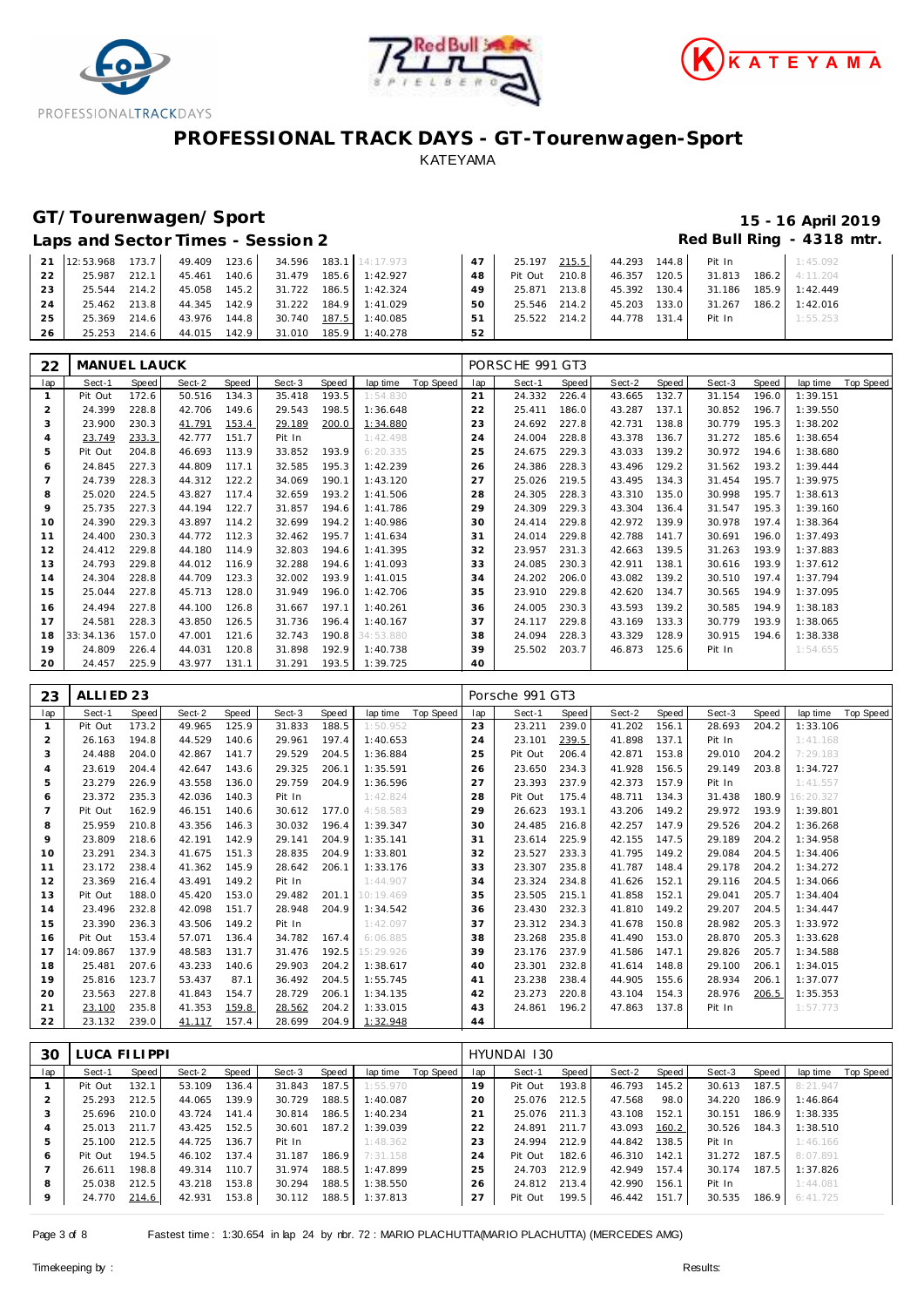





# **GT/Tourenwagen/Sport 15 - 16 April 2019**

#### Laps and Sector Times - Session 2 **Red Bull Ring - 4318 mtr.** And Sector Times - Session 2

|                 | 21 12:53.968 173.7 49.409 123.6 34.596 183.1 14:17.973 |  |                                                 |                                    |      |                                     |  | 47   25.197 215.5   44.293 144.8   Pit In   1:45.092 |          |
|-----------------|--------------------------------------------------------|--|-------------------------------------------------|------------------------------------|------|-------------------------------------|--|------------------------------------------------------|----------|
| 22 <sub>1</sub> | 25.987 212.1 45.461 140.6 31.479 185.6 1:42.927        |  |                                                 |                                    | 48   |                                     |  | Pit Out 210.8 46.357 120.5 31.813 186.2 4:11.204     |          |
| 23 <sub>1</sub> |                                                        |  | 25.544 214.2 45.058 145.2 31.722 186.5 1:42.324 |                                    |      |                                     |  | 49 25.871 213.8 45.392 130.4 31.186 185.9 1:42.449   |          |
| 24              |                                                        |  | 25.462 213.8 44.345 142.9 31.222 184.9 1:41.029 |                                    | 50 l |                                     |  | 25.546 214.2 45.203 133.0 31.267 186.2 1:42.016      |          |
| 25 I            | 25.369 214.6                                           |  |                                                 | 43.976 144.8 30.740 187.5 1:40.085 |      | 51 25.522 214.2 44.778 131.4 Pit In |  |                                                      | 1:55.253 |
| 26 l            |                                                        |  | 25.253 214.6 44.015 142.9 31.010 185.9 1:40.278 |                                    | 52   |                                     |  |                                                      |          |

| 22           | MANUEL LAUCK |       |        |       |        |       |           |           |     | PORSCHE 991 GT3 |       |        |       |        |       |          |           |
|--------------|--------------|-------|--------|-------|--------|-------|-----------|-----------|-----|-----------------|-------|--------|-------|--------|-------|----------|-----------|
| lap          | Sect-1       | Speed | Sect-2 | Speed | Sect-3 | Speed | lap time  | Top Speed | lap | Sect-1          | Speed | Sect-2 | Speed | Sect-3 | Speed | lap time | Top Speed |
| $\mathbf{1}$ | Pit Out      | 172.6 | 50.516 | 134.3 | 35.418 | 193.5 | 1:54.830  |           | 21  | 24.332          | 226.4 | 43.665 | 132.7 | 31.154 | 196.0 | 1:39.151 |           |
| 2            | 24.399       | 228.8 | 42.706 | 149.6 | 29.543 | 198.5 | 1:36.648  |           | 22  | 25.411          | 186.0 | 43.287 | 137.1 | 30.852 | 196.7 | 1:39.550 |           |
| 3            | 23.900       | 230.3 | 41.791 | 153.4 | 29.189 | 200.0 | 1:34.880  |           | 23  | 24.692          | 227.8 | 42.731 | 138.8 | 30.779 | 195.3 | 1:38.202 |           |
| 4            | 23.749       | 233.3 | 42.777 | 151.7 | Pit In |       | 1:42.498  |           | 24  | 24.004          | 228.8 | 43.378 | 136.7 | 31.272 | 185.6 | 1:38.654 |           |
| 5            | Pit Out      | 204.8 | 46.693 | 113.9 | 33.852 | 193.9 | 6:20.335  |           | 25  | 24.675          | 229.3 | 43.033 | 139.2 | 30.972 | 194.6 | 1:38.680 |           |
| 6            | 24.845       | 227.3 | 44.809 | 117.1 | 32.585 | 195.3 | 1:42.239  |           | 26  | 24.386          | 228.3 | 43.496 | 129.2 | 31.562 | 193.2 | 1:39.444 |           |
|              | 24.739       | 228.3 | 44.312 | 122.2 | 34.069 | 190.1 | 1:43.120  |           | 27  | 25.026          | 219.5 | 43.495 | 134.3 | 31.454 | 195.7 | 1:39.975 |           |
| 8            | 25.020       | 224.5 | 43.827 | 117.4 | 32.659 | 193.2 | 1:41.506  |           | 28  | 24.305          | 228.3 | 43.310 | 135.0 | 30.998 | 195.7 | 1:38.613 |           |
| 9            | 25.735       | 227.3 | 44.194 | 122.7 | 31.857 | 194.6 | 1:41.786  |           | 29  | 24.309          | 229.3 | 43.304 | 136.4 | 31.547 | 195.3 | 1:39.160 |           |
| 10           | 24.390       | 229.3 | 43.897 | 114.2 | 32.699 | 194.2 | 1:40.986  |           | 30  | 24.414          | 229.8 | 42.972 | 139.9 | 30.978 | 197.4 | 1:38.364 |           |
| 11           | 24.400       | 230.3 | 44.772 | 112.3 | 32.462 | 195.7 | 1:41.634  |           | 31  | 24.014          | 229.8 | 42.788 | 141.7 | 30.691 | 196.0 | 1:37.493 |           |
| 12           | 24.412       | 229.8 | 44.180 | 114.9 | 32.803 | 194.6 | 1:41.395  |           | 32  | 23.957          | 231.3 | 42.663 | 139.5 | 31.263 | 193.9 | 1:37.883 |           |
| 13           | 24.793       | 229.8 | 44.012 | 116.9 | 32.288 | 194.6 | 1:41.093  |           | 33  | 24.085          | 230.3 | 42.911 | 138.1 | 30.616 | 193.9 | 1:37.612 |           |
| 14           | 24.304       | 228.8 | 44.709 | 123.3 | 32.002 | 193.9 | 1:41.015  |           | 34  | 24.202          | 206.0 | 43.082 | 139.2 | 30.510 | 197.4 | 1:37.794 |           |
| 15           | 25.044       | 227.8 | 45.713 | 128.0 | 31.949 | 196.0 | 1:42.706  |           | 35  | 23.910          | 229.8 | 42.620 | 134.7 | 30.565 | 194.9 | 1:37.095 |           |
| 16           | 24.494       | 227.8 | 44.100 | 126.8 | 31.667 | 197.1 | 1:40.261  |           | 36  | 24.005          | 230.3 | 43.593 | 139.2 | 30.585 | 194.9 | 1:38.183 |           |
| 17           | 24.581       | 228.3 | 43.850 | 126.5 | 31.736 | 196.4 | 1:40.167  |           | 37  | 24.117          | 229.8 | 43.169 | 133.3 | 30.779 | 193.9 | 1:38.065 |           |
| 18           | 33:34.136    | 157.0 | 47.001 | 121.6 | 32.743 | 190.8 | 34:53.880 |           | 38  | 24.094          | 228.3 | 43.329 | 128.9 | 30.915 | 194.6 | 1:38.338 |           |
| 19           | 24.809       | 226.4 | 44.031 | 120.8 | 31.898 | 192.9 | 1:40.738  |           | 39  | 25.502          | 203.7 | 46.873 | 125.6 | Pit In |       | 1:54.655 |           |
| 20           | 24.457       | 225.9 | 43.977 | 131.1 | 31.291 | 193.5 | 1:39.725  |           | 40  |                 |       |        |       |        |       |          |           |

| 23             | ALLIED <sub>23</sub> |       |        |       |        |       |           |           |     | Porsche 991 GT3 |       |        |       |        |       |           |           |
|----------------|----------------------|-------|--------|-------|--------|-------|-----------|-----------|-----|-----------------|-------|--------|-------|--------|-------|-----------|-----------|
| lap            | Sect-1               | Speed | Sect-2 | Speed | Sect-3 | Speed | lap time  | Top Speed | lap | Sect-1          | Speed | Sect-2 | Speed | Sect-3 | Speed | lap time  | Top Speed |
| $\mathbf{1}$   | Pit Out              | 173.2 | 49.965 | 125.9 | 31.833 | 188.5 | 1:50.952  |           | 23  | 23.211          | 239.0 | 41.202 | 156.1 | 28.693 | 204.2 | 1:33.106  |           |
| $\overline{2}$ | 26.163               | 194.8 | 44.529 | 140.6 | 29.961 | 197.4 | 1:40.653  |           | 24  | 23.101          | 239.5 | 41.898 | 137.1 | Pit In |       | 1:41.168  |           |
| 3              | 24.488               | 204.0 | 42.867 | 141.7 | 29.529 | 204.5 | 1:36.884  |           | 25  | Pit Out         | 206.4 | 42.871 | 153.8 | 29.010 | 204.2 | 7:29.183  |           |
| $\overline{4}$ | 23.619               | 204.4 | 42.647 | 143.6 | 29.325 | 206.1 | 1:35.591  |           | 26  | 23.650          | 234.3 | 41.928 | 156.5 | 29.149 | 203.8 | 1:34.727  |           |
| 5              | 23.279               | 226.9 | 43.558 | 136.0 | 29.759 | 204.9 | 1:36.596  |           | 27  | 23.393          | 237.9 | 42.373 | 157.9 | Pit In |       | 1:41.557  |           |
| 6              | 23.372               | 235.3 | 42.036 | 140.3 | Pit In |       | 1:42.824  |           | 28  | Pit Out         | 175.4 | 48.711 | 134.3 | 31.438 | 180.9 | 16:20.327 |           |
| $\overline{7}$ | Pit Out              | 162.9 | 46.151 | 140.6 | 30.612 | 177.0 | 4:58.583  |           | 29  | 26.623          | 193.1 | 43.206 | 149.2 | 29.972 | 193.9 | 1:39.801  |           |
| 8              | 25.959               | 210.8 | 43.356 | 146.3 | 30.032 | 196.4 | 1:39.347  |           | 30  | 24.485          | 216.8 | 42.257 | 147.9 | 29.526 | 204.2 | 1:36.268  |           |
| 9              | 23.809               | 218.6 | 42.191 | 142.9 | 29.141 | 204.9 | 1:35.141  |           | 31  | 23.614          | 225.9 | 42.155 | 147.5 | 29.189 | 204.2 | 1:34.958  |           |
| 10             | 23.291               | 234.3 | 41.675 | 151.3 | 28.835 | 204.9 | 1:33.801  |           | 32  | 23.527          | 233.3 | 41.795 | 149.2 | 29.084 | 204.5 | 1:34.406  |           |
| 11             | 23.172               | 238.4 | 41.362 | 145.9 | 28.642 | 206.1 | 1:33.176  |           | 33  | 23.307          | 235.8 | 41.787 | 148.4 | 29.178 | 204.2 | 1:34.272  |           |
| 12             | 23.369               | 216.4 | 43.491 | 149.2 | Pit In |       | 1:44.907  |           | 34  | 23.324          | 234.8 | 41.626 | 152.1 | 29.116 | 204.5 | 1:34.066  |           |
| 13             | Pit Out              | 188.0 | 45.420 | 153.0 | 29.482 | 201.1 | 10:19.469 |           | 35  | 23.505          | 215.1 | 41.858 | 152.1 | 29.041 | 205.7 | 1:34.404  |           |
| 14             | 23.496               | 232.8 | 42.098 | 151.7 | 28.948 | 204.9 | 1:34.542  |           | 36  | 23.430          | 232.3 | 41.810 | 149.2 | 29.207 | 204.5 | 1:34.447  |           |
| 15             | 23.390               | 236.3 | 43.506 | 149.2 | Pit In |       | 1:42.097  |           | 37  | 23.312          | 234.3 | 41.678 | 150.8 | 28.982 | 205.3 | 1:33.972  |           |
| 16             | Pit Out              | 153.4 | 57.071 | 136.4 | 34.782 | 167.4 | 6:06.885  |           | 38  | 23.268          | 235.8 | 41.490 | 153.0 | 28.870 | 205.3 | 1:33.628  |           |
| 17             | 14:09.867            | 137.9 | 48.583 | 131.7 | 31.476 | 192.5 | 15:29.926 |           | 39  | 23.176          | 237.9 | 41.586 | 147.1 | 29.826 | 205.7 | 1:34.588  |           |
| 18             | 25.481               | 207.6 | 43.233 | 140.6 | 29.903 | 204.2 | 1:38.617  |           | 40  | 23.301          | 232.8 | 41.614 | 148.8 | 29.100 | 206.1 | 1:34.015  |           |
| 19             | 25.816               | 123.7 | 53.437 | 87.1  | 36.492 | 204.5 | 1:55.745  |           | 41  | 23.238          | 238.4 | 44.905 | 155.6 | 28.934 | 206.1 | 1:37.077  |           |
| 20             | 23.563               | 227.8 | 41.843 | 154.7 | 28.729 | 206.1 | 1:34.135  |           | 42  | 23.273          | 220.8 | 43.104 | 154.3 | 28.976 | 206.5 | 1:35.353  |           |
| 21             | 23.100               | 235.8 | 41.353 | 159.8 | 28.562 | 204.2 | 1:33.015  |           | 43  | 24.861          | 196.2 | 47.863 | 137.8 | Pit In |       | 1:57.773  |           |
| 22             | 23.132               | 239.0 | 41.117 | 157.4 | 28.699 | 204.9 | 1:32.948  |           | 44  |                 |       |        |       |        |       |           |           |

| Speed<br>Sect-1  | Sect-2 |                                                                      |        |       |          |           |     | HYUNDAI 130 |       |        |        |        |       |          |           |
|------------------|--------|----------------------------------------------------------------------|--------|-------|----------|-----------|-----|-------------|-------|--------|--------|--------|-------|----------|-----------|
|                  |        | Speed                                                                | Sect-3 | Speed | lap time | Top Speed | lap | Sect-1      | Speed | Sect-2 | Speed  | Sect-3 | Speed | lap time | Top Speed |
| 132.1<br>Pit Out | 53.109 | 136.4                                                                | 31.843 | 187.5 | 1:55.970 |           | 19  | Pit Out     | 193.8 | 46.793 | 145.21 | 30.613 | 187.5 | 8:21.947 |           |
| 25.293           | 44.065 | 139.9                                                                | 30.729 | 188.5 | 1:40.087 |           | 20  | 25.076      | 212.5 | 47.568 | 98.0   | 34.220 | 186.9 | 1:46.864 |           |
| 25.696           | 43.724 | 141.4                                                                | 30.814 | 186.5 | 1:40.234 |           | 21  | 25.076      | 211.3 | 43.108 | 152.1  | 30.151 | 186.9 | 1:38.335 |           |
| 25.013           | 43.425 | 152.5                                                                | 30.601 | 187.2 | 1:39.039 |           | 22  | 24.891      | 211.7 | 43.093 | 160.2  | 30.526 | 184.3 | 1:38.510 |           |
| 25.100           | 44.725 | 136.7                                                                | Pit In |       | 1:48.362 |           | 23  | 24.994      | 212.9 | 44.842 | 138.5  | Pit In |       | 1:46.166 |           |
| Pit Out          | 46.102 | 137.4                                                                | 31.187 | 186.9 | 7:31.158 |           | 24  | Pit Out     | 182.6 | 46.310 | 142.1  | 31.272 | 187.5 | 8:07.891 |           |
| 26.611           | 49.314 | 110.7                                                                | 31.974 | 188.5 | 1:47.899 |           | 25  | 24.703      | 212.9 | 42.949 | 157.4  | 30.174 | 187.5 | 1:37.826 |           |
| 25.038           | 43.218 | 153.8                                                                | 30.294 | 188.5 | 1:38.550 |           | 26  | 24.812      | 213.4 | 42.990 | 156.1  | Pit In |       | 1:44.081 |           |
| 24.770           | 42.931 | 153.8                                                                | 30.112 | 188.5 | 1:37.813 |           | 27  | Pit Out     | 199.5 | 46.442 | 151.7  | 30.535 |       | 6:41.725 |           |
|                  |        | 212.5<br>210.0<br>211.7<br>212.5<br>194.5<br>198.8<br>212.5<br>214.6 |        |       |          |           |     |             |       |        |        |        |       |          | 186.9     |

Page 3 of 8 Fastest time : 1:30.654 in lap 24 by rbr. 72 : MARIO PLACHUTTA(MARIO PLACHUTTA) (MERCEDES AMG)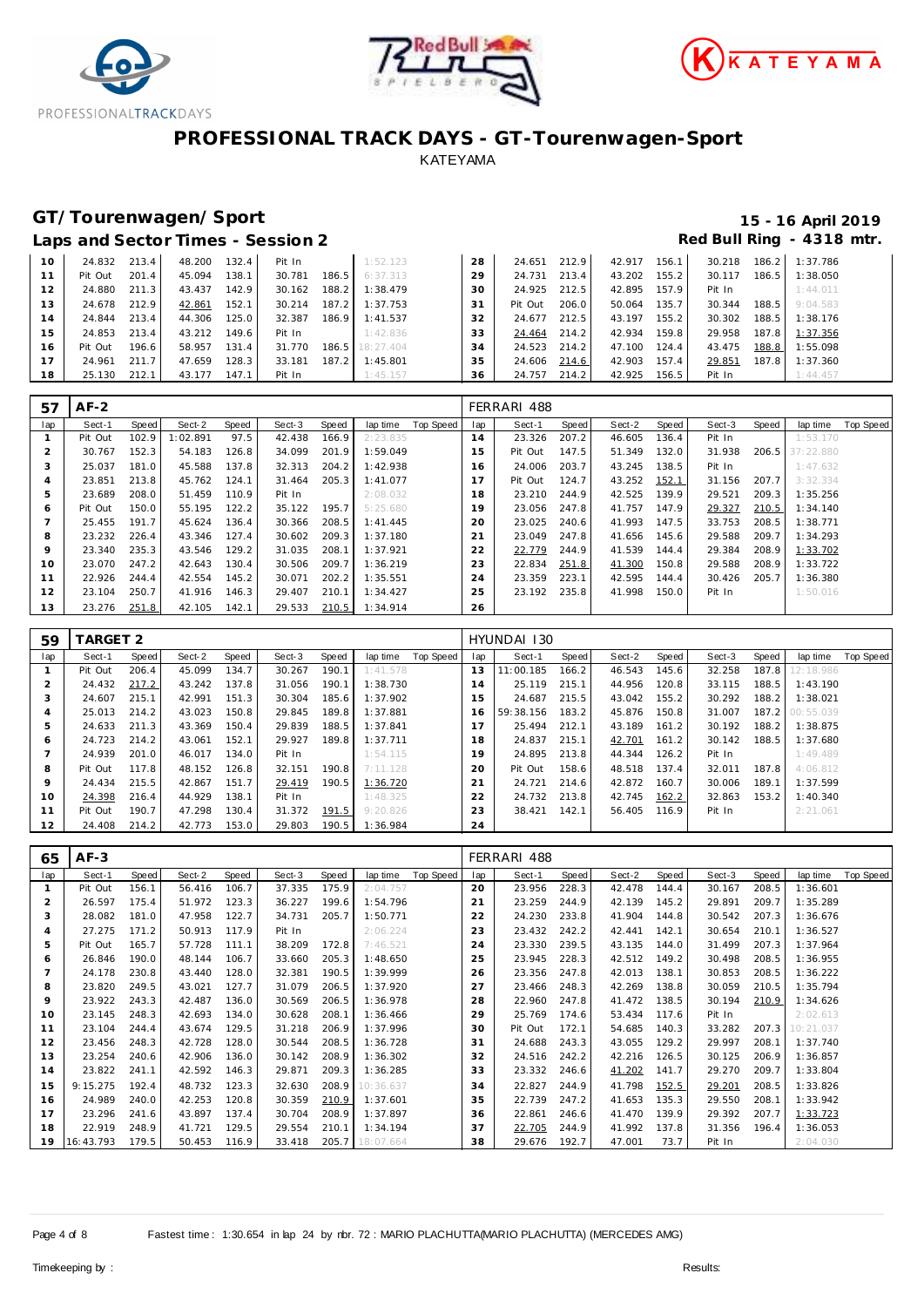





# **GT/Tourenwagen/Sport 15 - 16 April 2019**

#### Laps and Sector Times - Session 2 **Red Bull Ring - 4318 mtr.** And Sector Times - Session 2

| 10 | 24.832  | 213.4 | 48.200 | 132.4 | Pit In |       | 1:52.123  | 28 | 24.651  | 212.9 | 42.917 | 156.1 | 30.218 | 186.2 | 1:37.786 |
|----|---------|-------|--------|-------|--------|-------|-----------|----|---------|-------|--------|-------|--------|-------|----------|
|    | Pit Out | 201.4 | 45.094 | 38.1  | 30.781 | 186.5 | 6:37.313  | 29 | 24.731  | 213.4 | 43.202 | 155.2 | 30.117 | 186.5 | 1:38.050 |
| 12 | 24.880  | 211.3 | 43.437 | 142.9 | 30.162 | 188.2 | 1:38.479  | 30 | 24.925  | 212.5 | 42.895 | 157.9 | Pit In |       | 1:44.011 |
| 13 | 24.678  | 212.9 | 42.861 | 152.1 | 30.214 | 187.2 | 1:37.753  | 31 | Pit Out | 206.0 | 50.064 | 135.7 | 30.344 | 188.5 | 9:04.583 |
| 14 | 24.844  | 213.4 | 44.306 | 125.0 | 32.387 | 186.9 | 1:41.537  | 32 | 24.677  | 212.5 | 43.197 | 155.2 | 30.302 | 188.5 | 1:38.176 |
| 15 | 24.853  | 213.4 | 43.212 | 149.6 | Pit In |       | 1:42.836  | 33 | 24.464  | 214.2 | 42.934 | 159.8 | 29.958 | 187.8 | 1:37.356 |
| 16 | Pit Out | 196.6 | 58.957 | 131.4 | 31.770 | 186.5 | 18:27.404 | 34 | 24.523  | 214.2 | 47.100 | 124.4 | 43.475 | 188.8 | 1:55.098 |
| 17 | 24.961  | 211.7 | 47.659 | 128.3 | 33.181 | 187.2 | 1:45.801  | 35 | 24.606  | 214.6 | 42.903 | 157.4 | 29.851 | 187.8 | 1:37.360 |
| 18 | 25.130  | 212.1 | 43.177 | 147.1 | Pit In |       | 1:45.157  | 36 | 24.757  | 214.2 | 42.925 | 156.5 | Pit In |       | 1:44.457 |

| 57  | $AF-2$  |       |          |       |        |       |          |           |     | FERRARI 488 |       |        |       |        |       |           |           |
|-----|---------|-------|----------|-------|--------|-------|----------|-----------|-----|-------------|-------|--------|-------|--------|-------|-----------|-----------|
| lap | Sect-1  | Speed | Sect-2   | Speed | Sect-3 | Speed | lap time | Top Speed | lap | Sect-1      | Speed | Sect-2 | Speed | Sect-3 | Speed | lap time  | Top Speed |
|     | Pit Out | 102.9 | 1:02.891 | 97.5  | 42.438 | 166.9 | 2:23.835 |           | 14  | 23.326      | 207.2 | 46.605 | 136.4 | Pit In |       | 1:53.170  |           |
|     | 30.767  | 152.3 | 54.183   | 126.8 | 34.099 | 201.9 | 1:59.049 |           | 15  | Pit Out     | 147.5 | 51.349 | 132.0 | 31.938 | 206.5 | 37:22.880 |           |
| 3   | 25.037  | 181.0 | 45.588   | 137.8 | 32.313 | 204.2 | 1:42.938 |           | 16  | 24.006      | 203.7 | 43.245 | 138.5 | Pit In |       | 1:47.632  |           |
| 4   | 23.851  | 213.8 | 45.762   | 124.1 | 31.464 | 205.3 | 1:41.077 |           |     | Pit Out     | 124.7 | 43.252 | 152.1 | 31.156 | 207.7 | 3:32.334  |           |
| 5   | 23.689  | 208.0 | 51.459   | 110.9 | Pit In |       | 2:08.032 |           | 18  | 23.210      | 244.9 | 42.525 | 139.9 | 29.521 | 209.3 | 1:35.256  |           |
| 6   | Pit Out | 150.0 | 55.195   | 122.2 | 35.122 | 195.7 | 5:25.680 |           | 19  | 23.056      | 247.8 | 41.757 | 147.9 | 29.327 | 210.5 | 1:34.140  |           |
|     | 25.455  | 191.7 | 45.624   | 136.4 | 30.366 | 208.5 | 1:41.445 |           | 20  | 23.025      | 240.6 | 41.993 | 147.5 | 33.753 | 208.5 | 1:38.771  |           |
| 8   | 23.232  | 226.4 | 43.346   | 127.4 | 30.602 | 209.3 | 1:37.180 |           | 21  | 23.049      | 247.8 | 41.656 | 145.6 | 29.588 | 209.7 | 1:34.293  |           |
| 9   | 23.340  | 235.3 | 43.546   | 129.2 | 31.035 | 208.1 | 1:37.921 |           | 22  | 22.779      | 244.9 | 41.539 | 144.4 | 29.384 | 208.9 | 1:33.702  |           |
| 10  | 23.070  | 247.2 | 42.643   | 130.4 | 30.506 | 209.7 | 1:36.219 |           | 23  | 22.834      | 251.8 | 41.300 | 150.8 | 29.588 | 208.9 | 1:33.722  |           |
| 11  | 22.926  | 244.4 | 42.554   | 145.2 | 30.071 | 202.2 | 1:35.551 |           | 24  | 23.359      | 223.1 | 42.595 | 144.4 | 30.426 | 205.7 | 1:36.380  |           |
| 12  | 23.104  | 250.7 | 41.916   | 146.3 | 29.407 | 210.1 | 1:34.427 |           | 25  | 23.192      | 235.8 | 41.998 | 150.0 | Pit In |       | 1:50.016  |           |
| 13  | 23.276  | 251.8 | 42.105   | 142.1 | 29.533 | 210.5 | 1:34.914 |           | 26  |             |       |        |       |        |       |           |           |

| 59  | ARGET 2 |       |        |       |        |       |          |           |     | HYUNDAI 130 |       |        |       |        |       |                 |           |
|-----|---------|-------|--------|-------|--------|-------|----------|-----------|-----|-------------|-------|--------|-------|--------|-------|-----------------|-----------|
| lap | Sect-1  | Speed | Sect-2 | Speed | Sect-3 | Speed | lap time | Top Speed | lap | Sect-1      | Speed | Sect-2 | Speed | Sect-3 | Speed | lap time        | Top Speed |
|     | Pit Out | 206.4 | 45.099 | 134.7 | 30.267 | 190.1 | 1:41.578 |           | 13  | 11:00.185   | 166.2 | 46.543 | 145.6 | 32.258 | 187.8 | 12:18.986       |           |
| 2   | 24.432  | 217.2 | 43.242 | 137.8 | 31.056 | 190.1 | 1:38.730 |           | 14  | 25.119      | 215.1 | 44.956 | 120.8 | 33.115 | 188.5 | 1:43.190        |           |
| 3   | 24.607  | 215.1 | 42.991 | 151.3 | 30.304 | 185.6 | 1:37.902 |           | 15  | 24.687      | 215.5 | 43.042 | 155.2 | 30.292 | 188.2 | 1:38.021        |           |
| 4   | 25.013  | 214.2 | 43.023 | 150.8 | 29.845 | 189.8 | 1:37.881 |           | 16  | 59:38.156   | 183.2 | 45.876 | 150.8 | 31.007 |       | 187.2 00:55.039 |           |
| 5   | 24.633  | 211.3 | 43.369 | 150.4 | 29.839 | 188.5 | 1:37.841 |           | 17  | 25.494      | 212.1 | 43.189 | 161.2 | 30.192 | 188.2 | 1:38.875        |           |
| 6   | 24.723  | 214.2 | 43.061 | 152.1 | 29.927 | 189.8 | 1:37.711 |           | 18  | 24.837      | 215.1 | 42.701 | 161.2 | 30.142 | 188.5 | 1:37.680        |           |
| -   | 24.939  | 201.0 | 46.017 | 134.0 | Pit In |       | 1:54.115 |           | 19  | 24.895      | 213.8 | 44.344 | 126.2 | Pit In |       | 1:49.489        |           |
| 8   | Pit Out | 117.8 | 48.152 | 126.8 | 32.151 | 190.8 | 7:11.128 |           | 20  | Pit Out     | 158.6 | 48.518 | 137.4 | 32.011 | 187.8 | 4:06.812        |           |
| 9   | 24.434  | 215.5 | 42.867 | 151.7 | 29.419 | 190.5 | 1:36.720 |           | 21  | 24.721      | 214.6 | 42.872 | 160.7 | 30.006 | 189.1 | 1:37.599        |           |
| 10  | 24.398  | 216.4 | 44.929 | 138.1 | Pit In |       | 1:48.325 |           | 22  | 24.732      | 213.8 | 42.745 | 162.2 | 32.863 | 153.2 | 1:40.340        |           |
| 11  | Pit Out | 190.7 | 47.298 | 130.4 | 31.372 | 191.5 | 9:20.826 |           | 23  | 38.421      | 142.1 | 56.405 | 116.9 | Pit In |       | 2:21.061        |           |
| 12  | 24.408  | 214.2 | 42.773 | 153.0 | 29.803 | 190.5 | 1:36.984 |           | 24  |             |       |        |       |        |       |                 |           |

| 65             | $AF-3$    |       |        |       |        |       |           |           |     | FERRARI 488 |       |        |       |        |       |           |                  |
|----------------|-----------|-------|--------|-------|--------|-------|-----------|-----------|-----|-------------|-------|--------|-------|--------|-------|-----------|------------------|
| lap            | Sect-1    | Speed | Sect-2 | Speed | Sect-3 | Speed | lap time  | Top Speed | lap | Sect-1      | Speed | Sect-2 | Speed | Sect-3 | Speed | lap time  | <b>Top Speed</b> |
|                | Pit Out   | 156.1 | 56.416 | 106.7 | 37.335 | 175.9 | 2:04.757  |           | 20  | 23.956      | 228.3 | 42.478 | 144.4 | 30.167 | 208.5 | 1:36.601  |                  |
| $\overline{2}$ | 26.597    | 175.4 | 51.972 | 123.3 | 36.227 | 199.6 | 1:54.796  |           | 21  | 23.259      | 244.9 | 42.139 | 145.2 | 29.891 | 209.7 | 1:35.289  |                  |
| 3              | 28.082    | 181.0 | 47.958 | 122.7 | 34.731 | 205.7 | 1:50.771  |           | 22  | 24.230      | 233.8 | 41.904 | 144.8 | 30.542 | 207.3 | 1:36.676  |                  |
| 4              | 27.275    | 171.2 | 50.913 | 117.9 | Pit In |       | 2:06.224  |           | 23  | 23.432      | 242.2 | 42.441 | 142.1 | 30.654 | 210.1 | 1:36.527  |                  |
| 5              | Pit Out   | 165.7 | 57.728 | 111.1 | 38.209 | 172.8 | 7:46.521  |           | 24  | 23.330      | 239.5 | 43.135 | 144.0 | 31.499 | 207.3 | 1:37.964  |                  |
| 6              | 26.846    | 190.0 | 48.144 | 106.7 | 33.660 | 205.3 | 1:48.650  |           | 25  | 23.945      | 228.3 | 42.512 | 149.2 | 30.498 | 208.5 | 1:36.955  |                  |
|                | 24.178    | 230.8 | 43.440 | 128.0 | 32.381 | 190.5 | 1:39.999  |           | 26  | 23.356      | 247.8 | 42.013 | 138.1 | 30.853 | 208.5 | 1:36.222  |                  |
| 8              | 23.820    | 249.5 | 43.021 | 127.7 | 31.079 | 206.5 | 1:37.920  |           | 27  | 23.466      | 248.3 | 42.269 | 138.8 | 30.059 | 210.5 | 1:35.794  |                  |
| 9              | 23.922    | 243.3 | 42.487 | 136.0 | 30.569 | 206.5 | 1:36.978  |           | 28  | 22.960      | 247.8 | 41.472 | 138.5 | 30.194 | 210.9 | 1:34.626  |                  |
| 10             | 23.145    | 248.3 | 42.693 | 134.0 | 30.628 | 208.1 | 1:36.466  |           | 29  | 25.769      | 174.6 | 53.434 | 117.6 | Pit In |       | 2:02.613  |                  |
| 11             | 23.104    | 244.4 | 43.674 | 129.5 | 31.218 | 206.9 | 1:37.996  |           | 30  | Pit Out     | 172.1 | 54.685 | 140.3 | 33.282 | 207.3 | 10:21.037 |                  |
| 12             | 23.456    | 248.3 | 42.728 | 128.0 | 30.544 | 208.5 | 1:36.728  |           | 31  | 24.688      | 243.3 | 43.055 | 129.2 | 29.997 | 208.1 | 1:37.740  |                  |
| 13             | 23.254    | 240.6 | 42.906 | 136.0 | 30.142 | 208.9 | 1:36.302  |           | 32  | 24.516      | 242.2 | 42.216 | 126.5 | 30.125 | 206.9 | 1:36.857  |                  |
| 14             | 23.822    | 241.1 | 42.592 | 146.3 | 29.871 | 209.3 | 1:36.285  |           | 33  | 23.332      | 246.6 | 41.202 | 141.7 | 29.270 | 209.7 | 1:33.804  |                  |
| 15             | 9:15.275  | 192.4 | 48.732 | 123.3 | 32.630 | 208.9 | 10:36.637 |           | 34  | 22.827      | 244.9 | 41.798 | 152.5 | 29.201 | 208.5 | 1:33.826  |                  |
| 16             | 24.989    | 240.0 | 42.253 | 120.8 | 30.359 | 210.9 | 1:37.601  |           | 35  | 22.739      | 247.2 | 41.653 | 135.3 | 29.550 | 208.1 | 1:33.942  |                  |
| 17             | 23.296    | 241.6 | 43.897 | 137.4 | 30.704 | 208.9 | 1:37.897  |           | 36  | 22.861      | 246.6 | 41.470 | 139.9 | 29.392 | 207.7 | 1:33.723  |                  |
| 18             | 22.919    | 248.9 | 41.721 | 129.5 | 29.554 | 210.1 | 1:34.194  |           | 37  | 22.705      | 244.9 | 41.992 | 137.8 | 31.356 | 196.4 | 1:36.053  |                  |
| 19             | 16:43.793 | 179.5 | 50.453 | 116.9 | 33.418 | 205.7 | 18:07.664 |           | 38  | 29.676      | 192.7 | 47.001 | 73.7  | Pit In |       | 2:04.030  |                  |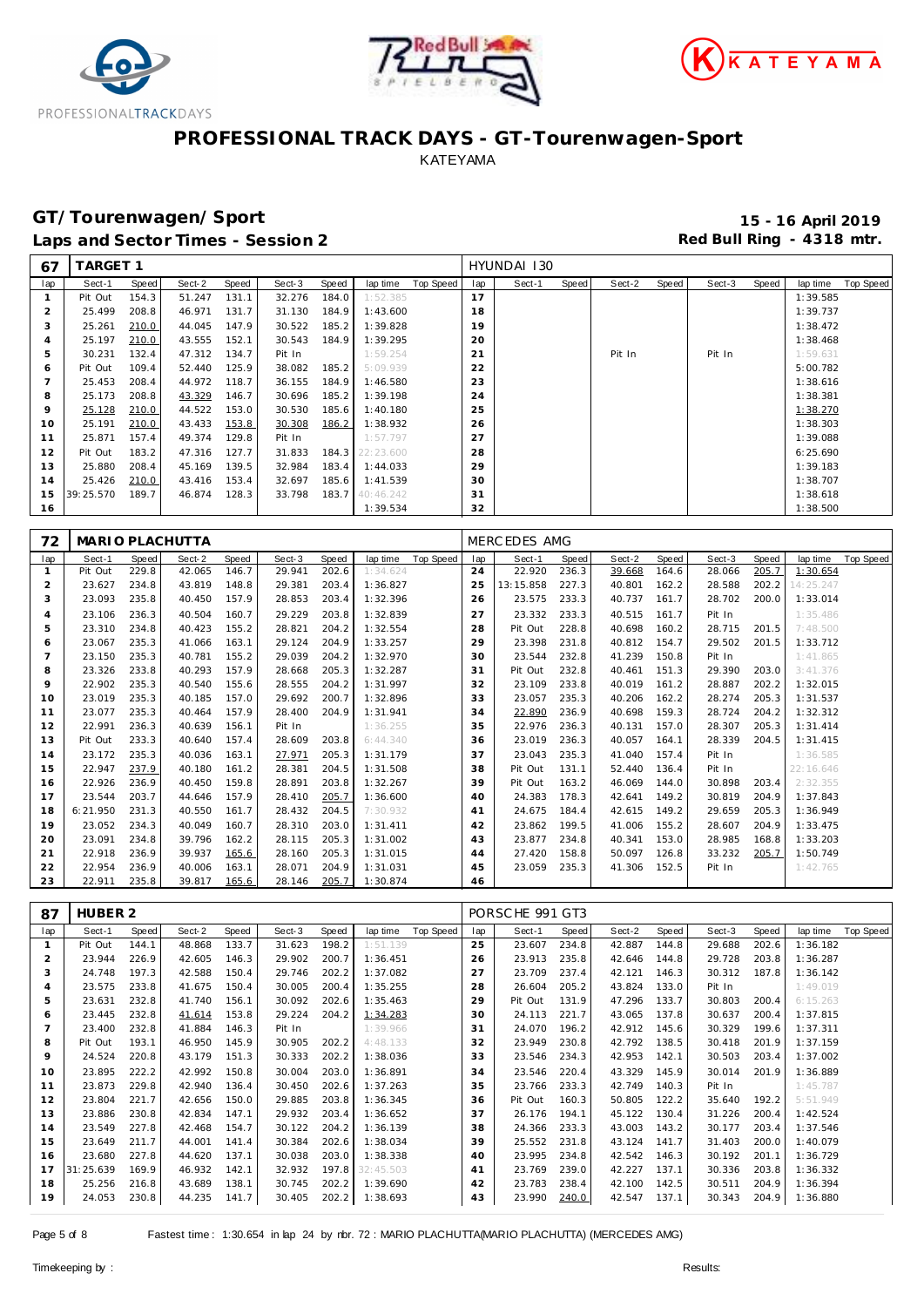





# **GT/Tourenwagen/Sport 15 - 16 April 2019**

Laps and Sector Times - Session 2 *Red Bull Ring - 4318 mtr.* 

| 67             | <b>TARGET 1</b> |       |        |       |        |       |           |           |     | HYUNDAI 130 |       |        |       |        |       |          |           |
|----------------|-----------------|-------|--------|-------|--------|-------|-----------|-----------|-----|-------------|-------|--------|-------|--------|-------|----------|-----------|
| lap            | Sect-1          | Speed | Sect-2 | Speed | Sect-3 | Speed | lap time  | Top Speed | lap | Sect-1      | Speed | Sect-2 | Speed | Sect-3 | Speed | lap time | Top Speed |
|                | Pit Out         | 154.3 | 51.247 | 131.1 | 32.276 | 184.0 | 1:52.385  |           | 17  |             |       |        |       |        |       | 1:39.585 |           |
| 2              | 25.499          | 208.8 | 46.971 | 131.7 | 31.130 | 184.9 | 1:43.600  |           | 18  |             |       |        |       |        |       | 1:39.737 |           |
| 3              | 25.261          | 210.0 | 44.045 | 147.9 | 30.522 | 185.2 | 1:39.828  |           | 19  |             |       |        |       |        |       | 1:38.472 |           |
| $\overline{4}$ | 25.197          | 210.0 | 43.555 | 152.1 | 30.543 | 184.9 | 1:39.295  |           | 20  |             |       |        |       |        |       | 1:38.468 |           |
| 5              | 30.231          | 132.4 | 47.312 | 134.7 | Pit In |       | 1:59.254  |           | 21  |             |       | Pit In |       | Pit In |       | 1:59.631 |           |
| 6              | Pit Out         | 109.4 | 52.440 | 125.9 | 38.082 | 185.2 | 5:09.939  |           | 22  |             |       |        |       |        |       | 5:00.782 |           |
|                | 25.453          | 208.4 | 44.972 | 118.7 | 36.155 | 184.9 | 1:46.580  |           | 23  |             |       |        |       |        |       | 1:38.616 |           |
| 8              | 25.173          | 208.8 | 43.329 | 146.7 | 30.696 | 185.2 | 1:39.198  |           | 24  |             |       |        |       |        |       | 1:38.381 |           |
| 9              | 25.128          | 210.0 | 44.522 | 153.0 | 30.530 | 185.6 | 1:40.180  |           | 25  |             |       |        |       |        |       | 1:38.270 |           |
| 10             | 25.191          | 210.0 | 43.433 | 153.8 | 30.308 | 186.2 | 1:38.932  |           | 26  |             |       |        |       |        |       | 1:38.303 |           |
| 11             | 25.871          | 157.4 | 49.374 | 129.8 | Pit In |       | 1:57.797  |           | 27  |             |       |        |       |        |       | 1:39.088 |           |
| 12             | Pit Out         | 183.2 | 47.316 | 127.7 | 31.833 | 184.3 | 22:23.600 |           | 28  |             |       |        |       |        |       | 6:25.690 |           |
| 13             | 25.880          | 208.4 | 45.169 | 139.5 | 32.984 | 183.4 | 1:44.033  |           | 29  |             |       |        |       |        |       | 1:39.183 |           |
| 14             | 25.426          | 210.0 | 43.416 | 153.4 | 32.697 | 185.6 | 1:41.539  |           | 30  |             |       |        |       |        |       | 1:38.707 |           |
| 15             | 39:25.570       | 189.7 | 46.874 | 128.3 | 33.798 | 183.7 | 40:46.242 |           | 31  |             |       |        |       |        |       | 1:38.618 |           |
| 16             |                 |       |        |       |        |       | 1:39.534  |           | 32  |             |       |        |       |        |       | 1:38.500 |           |

| 72             |          |       | MARIO PLACHUTTA |       |        |       |           |           |     | MERC EDES AMG |       |        |       |        |       |           |           |
|----------------|----------|-------|-----------------|-------|--------|-------|-----------|-----------|-----|---------------|-------|--------|-------|--------|-------|-----------|-----------|
| lap            | Sect-1   | Speed | Sect-2          | Speed | Sect-3 | Speed | lap time  | Top Speed | lap | Sect-1        | Speed | Sect-2 | Speed | Sect-3 | Speed | lap time  | Top Speed |
| $\mathbf{1}$   | Pit Out  | 229.8 | 42.065          | 146.7 | 29.941 | 202.6 | 1:34.624  |           | 24  | 22.920        | 236.3 | 39.668 | 164.6 | 28.066 | 205.7 | 1:30.654  |           |
| $\overline{2}$ | 23.627   | 234.8 | 43.819          | 148.8 | 29.381 | 203.4 | 1:36.827  |           | 25  | 13:15.858     | 227.3 | 40.801 | 162.2 | 28.588 | 202.2 | 14:25.247 |           |
| 3              | 23.093   | 235.8 | 40.450          | 157.9 | 28.853 | 203.4 | 1:32.396  |           | 26  | 23.575        | 233.3 | 40.737 | 161.7 | 28.702 | 200.0 | 1:33.014  |           |
| $\overline{4}$ | 23.106   | 236.3 | 40.504          | 160.7 | 29.229 | 203.8 | 1:32.839  |           | 27  | 23.332        | 233.3 | 40.515 | 161.7 | Pit In |       | 1:35.486  |           |
| 5              | 23.310   | 234.8 | 40.423          | 155.2 | 28.821 | 204.2 | 1:32.554  |           | 28  | Pit Out       | 228.8 | 40.698 | 160.2 | 28.715 | 201.5 | 7:48.500  |           |
| 6              | 23.067   | 235.3 | 41.066          | 163.1 | 29.124 | 204.9 | 1:33.257  |           | 29  | 23.398        | 231.8 | 40.812 | 154.7 | 29.502 | 201.5 | 1:33.712  |           |
|                | 23.150   | 235.3 | 40.781          | 155.2 | 29.039 | 204.2 | 1:32.970  |           | 30  | 23.544        | 232.8 | 41.239 | 150.8 | Pit In |       | 1:41.865  |           |
| 8              | 23.326   | 233.8 | 40.293          | 157.9 | 28.668 | 205.3 | 1:32.287  |           | 31  | Pit Out       | 232.8 | 40.461 | 151.3 | 29.390 | 203.0 | 3:41.376  |           |
| $\mathsf Q$    | 22.902   | 235.3 | 40.540          | 155.6 | 28.555 | 204.2 | 1:31.997  |           | 32  | 23.109        | 233.8 | 40.019 | 161.2 | 28.887 | 202.2 | 1:32.015  |           |
| 10             | 23.019   | 235.3 | 40.185          | 157.0 | 29.692 | 200.7 | 1:32.896  |           | 33  | 23.057        | 235.3 | 40.206 | 162.2 | 28.274 | 205.3 | 1:31.537  |           |
| 11             | 23.077   | 235.3 | 40.464          | 157.9 | 28.400 | 204.9 | 1:31.941  |           | 34  | 22.890        | 236.9 | 40.698 | 159.3 | 28.724 | 204.2 | 1:32.312  |           |
| 12             | 22.991   | 236.3 | 40.639          | 156.1 | Pit In |       | 1:36.255  |           | 35  | 22.976        | 236.3 | 40.131 | 157.0 | 28.307 | 205.3 | 1:31.414  |           |
| 13             | Pit Out  | 233.3 | 40.640          | 157.4 | 28.609 | 203.8 | 6: 44.340 |           | 36  | 23.019        | 236.3 | 40.057 | 164.1 | 28.339 | 204.5 | 1:31.415  |           |
| 14             | 23.172   | 235.3 | 40.036          | 163.1 | 27.971 | 205.3 | 1:31.179  |           | 37  | 23.043        | 235.3 | 41.040 | 157.4 | Pit In |       | 1:36.585  |           |
| 15             | 22.947   | 237.9 | 40.180          | 161.2 | 28.381 | 204.5 | 1:31.508  |           | 38  | Pit Out       | 131.1 | 52.440 | 136.4 | Pit In |       | 22:16.646 |           |
| 16             | 22.926   | 236.9 | 40.450          | 159.8 | 28.891 | 203.8 | 1:32.267  |           | 39  | Pit Out       | 163.2 | 46.069 | 144.0 | 30.898 | 203.4 | 2:32.355  |           |
| 17             | 23.544   | 203.7 | 44.646          | 157.9 | 28.410 | 205.7 | 1:36.600  |           | 40  | 24.383        | 178.3 | 42.641 | 149.2 | 30.819 | 204.9 | 1:37.843  |           |
| 18             | 6:21.950 | 231.3 | 40.550          | 161.7 | 28.432 | 204.5 | 7:30.932  |           | 41  | 24.675        | 184.4 | 42.615 | 149.2 | 29.659 | 205.3 | 1:36.949  |           |
| 19             | 23.052   | 234.3 | 40.049          | 160.7 | 28.310 | 203.0 | 1:31.411  |           | 42  | 23.862        | 199.5 | 41.006 | 155.2 | 28.607 | 204.9 | 1:33.475  |           |
| 20             | 23.091   | 234.8 | 39.796          | 162.2 | 28.115 | 205.3 | 1:31.002  |           | 43  | 23.877        | 234.8 | 40.341 | 153.0 | 28.985 | 168.8 | 1:33.203  |           |
| 21             | 22.918   | 236.9 | 39.937          | 165.6 | 28.160 | 205.3 | 1:31.015  |           | 44  | 27.420        | 158.8 | 50.097 | 126.8 | 33.232 | 205.7 | 1:50.749  |           |
| 22             | 22.954   | 236.9 | 40.006          | 163.1 | 28.071 | 204.9 | 1:31.031  |           | 45  | 23.059        | 235.3 | 41.306 | 152.5 | Pit In |       | 1:42.765  |           |
| 23             | 22.911   | 235.8 | 39.817          | 165.6 | 28.146 | 205.7 | 1:30.874  |           | 46  |               |       |        |       |        |       |           |           |

| 87      | HUBER 2   |       |        |       |        |       |           |                  |     | PORSCHE 991 GT3 |       |        |       |        |       |          |           |
|---------|-----------|-------|--------|-------|--------|-------|-----------|------------------|-----|-----------------|-------|--------|-------|--------|-------|----------|-----------|
| lap     | Sect-1    | Speed | Sect-2 | Speed | Sect-3 | Speed | lap time  | <b>Top Speed</b> | lap | Sect-1          | Speed | Sect-2 | Speed | Sect-3 | Speed | lap time | Top Speed |
|         | Pit Out   | 144.1 | 48.868 | 133.7 | 31.623 | 198.2 | 1:51.139  |                  | 25  | 23.607          | 234.8 | 42.887 | 144.8 | 29.688 | 202.6 | 1:36.182 |           |
| 2       | 23.944    | 226.9 | 42.605 | 146.3 | 29.902 | 200.7 | 1:36.451  |                  | 26  | 23.913          | 235.8 | 42.646 | 144.8 | 29.728 | 203.8 | 1:36.287 |           |
| 3       | 24.748    | 197.3 | 42.588 | 150.4 | 29.746 | 202.2 | 1:37.082  |                  | 27  | 23.709          | 237.4 | 42.121 | 146.3 | 30.312 | 187.8 | 1:36.142 |           |
| 4       | 23.575    | 233.8 | 41.675 | 150.4 | 30.005 | 200.4 | 1:35.255  |                  | 28  | 26.604          | 205.2 | 43.824 | 133.0 | Pit In |       | 1:49.019 |           |
| 5       | 23.631    | 232.8 | 41.740 | 156.1 | 30.092 | 202.6 | 1:35.463  |                  | 29  | Pit Out         | 131.9 | 47.296 | 133.7 | 30.803 | 200.4 | 6:15.263 |           |
| 6       | 23.445    | 232.8 | 41.614 | 153.8 | 29.224 | 204.2 | 1:34.283  |                  | 30  | 24.113          | 221.7 | 43.065 | 137.8 | 30.637 | 200.4 | 1:37.815 |           |
|         | 23.400    | 232.8 | 41.884 | 146.3 | Pit In |       | 1:39.966  |                  | 31  | 24.070          | 196.2 | 42.912 | 145.6 | 30.329 | 199.6 | 1:37.311 |           |
| 8       | Pit Out   | 193.1 | 46.950 | 145.9 | 30.905 | 202.2 | 4:48.133  |                  | 32  | 23.949          | 230.8 | 42.792 | 138.5 | 30.418 | 201.9 | 1:37.159 |           |
| $\circ$ | 24.524    | 220.8 | 43.179 | 151.3 | 30.333 | 202.2 | 1:38.036  |                  | 33  | 23.546          | 234.3 | 42.953 | 142.1 | 30.503 | 203.4 | 1:37.002 |           |
| 10      | 23.895    | 222.2 | 42.992 | 150.8 | 30.004 | 203.0 | 1:36.891  |                  | 34  | 23.546          | 220.4 | 43.329 | 145.9 | 30.014 | 201.9 | 1:36.889 |           |
| 11      | 23.873    | 229.8 | 42.940 | 136.4 | 30.450 | 202.6 | 1:37.263  |                  | 35  | 23.766          | 233.3 | 42.749 | 140.3 | Pit In |       | 1:45.787 |           |
| 12      | 23.804    | 221.7 | 42.656 | 150.0 | 29.885 | 203.8 | 1:36.345  |                  | 36  | Pit Out         | 160.3 | 50.805 | 122.2 | 35.640 | 192.2 | 5:51.949 |           |
| 13      | 23.886    | 230.8 | 42.834 | 147.1 | 29.932 | 203.4 | 1:36.652  |                  | 37  | 26.176          | 194.1 | 45.122 | 130.4 | 31.226 | 200.4 | 1:42.524 |           |
| 14      | 23.549    | 227.8 | 42.468 | 154.7 | 30.122 | 204.2 | 1:36.139  |                  | 38  | 24.366          | 233.3 | 43.003 | 143.2 | 30.177 | 203.4 | 1:37.546 |           |
| 15      | 23.649    | 211.7 | 44.001 | 141.4 | 30.384 | 202.6 | 1:38.034  |                  | 39  | 25.552          | 231.8 | 43.124 | 141.7 | 31.403 | 200.0 | 1:40.079 |           |
| 16      | 23.680    | 227.8 | 44.620 | 137.1 | 30.038 | 203.0 | 1:38.338  |                  | 40  | 23.995          | 234.8 | 42.542 | 146.3 | 30.192 | 201.1 | 1:36.729 |           |
| 17      | 31:25.639 | 169.9 | 46.932 | 142.1 | 32.932 | 197.8 | 32:45.503 |                  | 41  | 23.769          | 239.0 | 42.227 | 137.1 | 30.336 | 203.8 | 1:36.332 |           |
| 18      | 25.256    | 216.8 | 43.689 | 138.1 | 30.745 | 202.2 | 1:39.690  |                  | 42  | 23.783          | 238.4 | 42.100 | 142.5 | 30.511 | 204.9 | 1:36.394 |           |
| 19      | 24.053    | 230.8 | 44.235 | 141.7 | 30.405 | 202.2 | 1:38.693  |                  | 43  | 23.990          | 240.0 | 42.547 | 137.1 | 30.343 | 204.9 | 1:36.880 |           |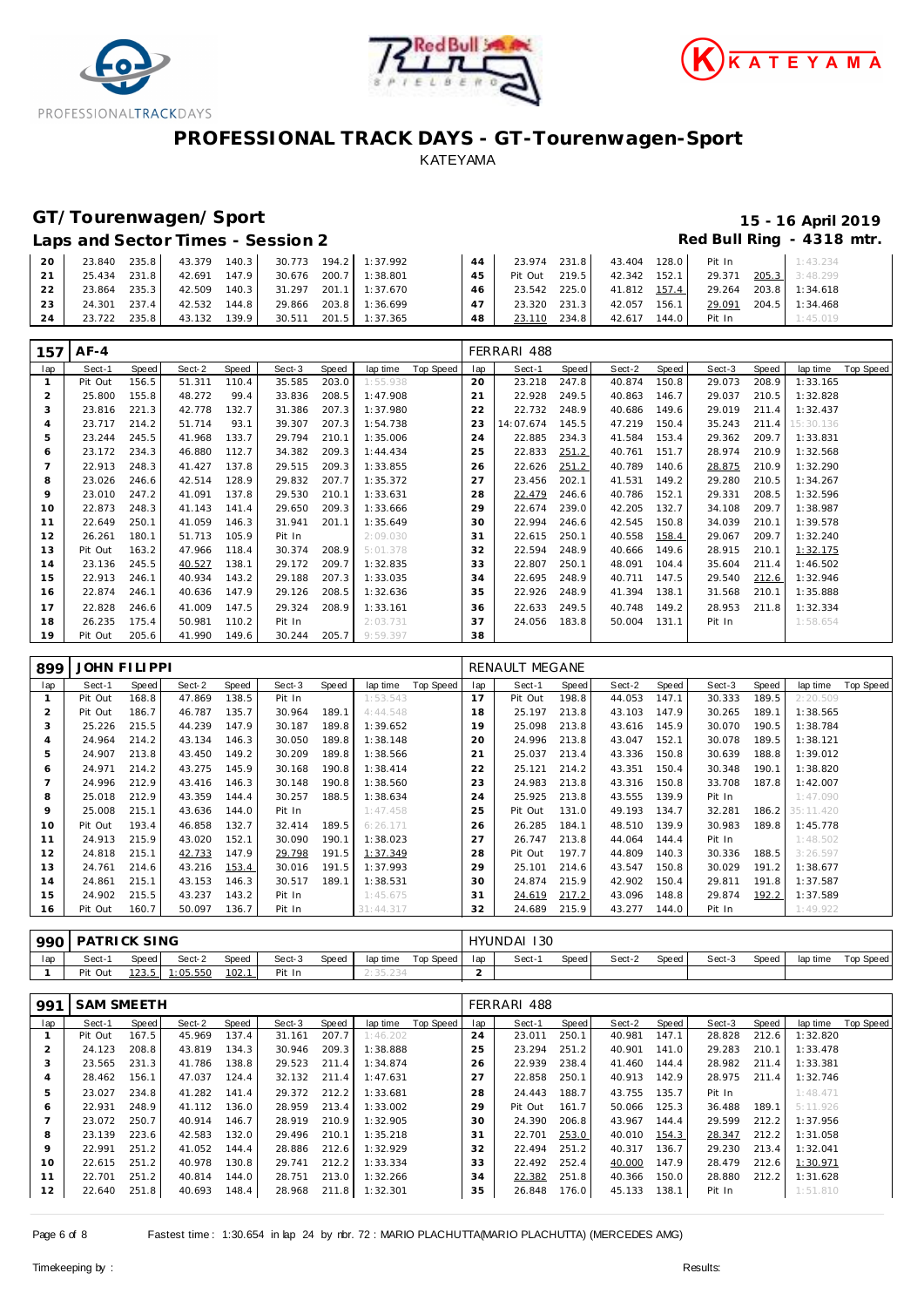





# **GT/Tourenwagen/Sport 15 - 16 April 2019**

### Laps and Sector Times - Session 2 *Red Bull Ring - 4318 mtr.*

| 20 | 23.840 | 235.8<br>43.379 | 140.3  | 30.773 |       | 194.2 1:37.992 |    | 23.974  | 231.8 | 43.404       | 128.0 | Pit In | 1:43.234       |
|----|--------|-----------------|--------|--------|-------|----------------|----|---------|-------|--------------|-------|--------|----------------|
| 21 | 25.434 | 231.8<br>42.691 | 147.9  | 30.676 | 200.7 | 1:38.801       | 45 | Pit Out | 219.5 | 42.342 152.1 |       | 29.371 | 205.3 3:48.299 |
| 22 | 23.864 | 235.3<br>42.509 | 140.3  | 31.297 | 201.1 | 1:37.670       | 46 | 23.542  | 225.0 | 41.812 157.4 |       | 29.264 | 203.8 1:34.618 |
| 23 | 24.301 | 237.4<br>42.532 | 144.8  | 29.866 |       | 203.8 1:36.699 |    | 23.320  | 231.3 | 42.057       | 156.1 | 29.091 | 204.5 1:34.468 |
| 24 | 23.722 | 235.8<br>43.132 | 139.91 | 30.511 | 201.5 | 1:37.365       | 48 | 23.110  | 234.8 | 42.617       | 144.0 | Pit In | : 45.019       |

| 157            | $AF-4$  |       |        |       |        |       |                       |     | FERRARI 488 |              |        |       |        |       |           |                  |
|----------------|---------|-------|--------|-------|--------|-------|-----------------------|-----|-------------|--------------|--------|-------|--------|-------|-----------|------------------|
| lap            | Sect-1  | Speed | Sect-2 | Speed | Sect-3 | Speed | Top Speed<br>lap time | lap | Sect-1      | <b>Speed</b> | Sect-2 | Speed | Sect-3 | Speed | lap time  | <b>Top Speed</b> |
|                | Pit Out | 156.5 | 51.311 | 110.4 | 35.585 | 203.0 | 1:55.938              | 20  | 23.218      | 247.8        | 40.874 | 150.8 | 29.073 | 208.9 | 1:33.165  |                  |
| 2              | 25.800  | 155.8 | 48.272 | 99.4  | 33.836 | 208.5 | 1:47.908              | っ   | 22.928      | 249.5        | 40.863 | 146.7 | 29.037 | 210.5 | 1:32.828  |                  |
| 3              | 23.816  | 221.3 | 42.778 | 132.7 | 31.386 | 207.3 | 1:37.980              | 22  | 22.732      | 248.9        | 40.686 | 149.6 | 29.019 | 211.4 | 1:32.437  |                  |
| $\overline{A}$ | 23.717  | 214.2 | 51.714 | 93.1  | 39.307 | 207.3 | 1:54.738              | 23  | 14:07.674   | 145.5        | 47.219 | 150.4 | 35.243 | 211.4 | 15:30.136 |                  |
| 5              | 23.244  | 245.5 | 41.968 | 133.7 | 29.794 | 210.1 | 1:35.006              | 24  | 22.885      | 234.3        | 41.584 | 153.4 | 29.362 | 209.7 | 1:33.831  |                  |
| 6              | 23.172  | 234.3 | 46.880 | 112.7 | 34.382 | 209.3 | 1:44.434              | 25  | 22.833      | 251.2        | 40.761 | 151.7 | 28.974 | 210.9 | 1:32.568  |                  |
|                | 22.913  | 248.3 | 41.427 | 137.8 | 29.515 | 209.3 | 1:33.855              | 26  | 22.626      | 251.2        | 40.789 | 140.6 | 28.875 | 210.9 | 1:32.290  |                  |
| 8              | 23.026  | 246.6 | 42.514 | 128.9 | 29.832 | 207.7 | 1:35.372              | 27  | 23.456      | 202.1        | 41.531 | 149.2 | 29.280 | 210.5 | 1:34.267  |                  |
| 9              | 23.010  | 247.2 | 41.091 | 137.8 | 29.530 | 210.1 | 1:33.631              | 28  | 22.479      | 246.6        | 40.786 | 152.1 | 29.331 | 208.5 | 1:32.596  |                  |
| 10             | 22.873  | 248.3 | 41.143 | 141.4 | 29.650 | 209.3 | 1:33.666              | 29  | 22.674      | 239.0        | 42.205 | 132.7 | 34.108 | 209.7 | 1:38.987  |                  |
| 11             | 22.649  | 250.1 | 41.059 | 146.3 | 31.941 | 201.1 | 1:35.649              | 30  | 22.994      | 246.6        | 42.545 | 150.8 | 34.039 | 210.1 | 1:39.578  |                  |
| 12             | 26.261  | 180.1 | 51.713 | 105.9 | Pit In |       | 2:09.030              | 31  | 22.615      | 250.1        | 40.558 | 158.4 | 29.067 | 209.7 | 1:32.240  |                  |
| 13             | Pit Out | 163.2 | 47.966 | 118.4 | 30.374 | 208.9 | 5:01.378              | 32  | 22.594      | 248.9        | 40.666 | 149.6 | 28.915 | 210.1 | 1:32.175  |                  |
| 14             | 23.136  | 245.5 | 40.527 | 138.1 | 29.172 | 209.7 | 1:32.835              | 33  | 22.807      | 250.1        | 48.091 | 104.4 | 35.604 | 211.4 | 1:46.502  |                  |
| 15             | 22.913  | 246.1 | 40.934 | 143.2 | 29.188 | 207.3 | 1:33.035              | 34  | 22.695      | 248.9        | 40.711 | 147.5 | 29.540 | 212.6 | 1:32.946  |                  |
| 16             | 22.874  | 246.1 | 40.636 | 147.9 | 29.126 | 208.5 | 1:32.636              | 35  | 22.926      | 248.9        | 41.394 | 138.1 | 31.568 | 210.1 | 1:35.888  |                  |
| 17             | 22.828  | 246.6 | 41.009 | 147.5 | 29.324 | 208.9 | 1:33.161              | 36  | 22.633      | 249.5        | 40.748 | 149.2 | 28.953 | 211.8 | 1:32.334  |                  |
| 18             | 26.235  | 175.4 | 50.981 | 110.2 | Pit In |       | 2:03.731              | 37  | 24.056      | 183.8        | 50.004 | 131.1 | Pit In |       | 1:58.654  |                  |
| 19             | Pit Out | 205.6 | 41.990 | 149.6 | 30.244 | 205.7 | 9:59.397              | 38  |             |              |        |       |        |       |           |                  |

| 899 | <b>JOHN FILIPPI</b> |       |        |       |        |       |           |           |     | RENAULT MEGANE |       |        |       |        |       |           |                  |
|-----|---------------------|-------|--------|-------|--------|-------|-----------|-----------|-----|----------------|-------|--------|-------|--------|-------|-----------|------------------|
| lap | Sect-1              | Speed | Sect-2 | Speed | Sect-3 | Speed | lap time  | Top Speed | lap | Sect-1         | Speed | Sect-2 | Speed | Sect-3 | Speed | lap time  | <b>Top Speed</b> |
|     | Pit Out             | 168.8 | 47.869 | 138.5 | Pit In |       | 1:53.543  |           | 17  | Pit Out        | 198.8 | 44.053 | 147.1 | 30.333 | 189.5 | 2:20.509  |                  |
|     | Pit Out             | 186.7 | 46.787 | 135.7 | 30.964 | 189.1 | 4:44.548  |           | 18  | 25.197         | 213.8 | 43.103 | 147.9 | 30.265 | 189.1 | 1:38.565  |                  |
| 3   | 25.226              | 215.5 | 44.239 | 147.9 | 30.187 | 189.8 | 1:39.652  |           | 19  | 25.098         | 213.8 | 43.616 | 145.9 | 30.070 | 190.5 | 1:38.784  |                  |
| 4   | 24.964              | 214.2 | 43.134 | 146.3 | 30.050 | 189.8 | 1:38.148  |           | 20  | 24.996         | 213.8 | 43.047 | 152.1 | 30.078 | 189.5 | 1:38.121  |                  |
| 5   | 24.907              | 213.8 | 43.450 | 149.2 | 30.209 | 189.8 | 1:38.566  |           | 21  | 25.037         | 213.4 | 43.336 | 150.8 | 30.639 | 188.8 | 1:39.012  |                  |
| 6   | 24.971              | 214.2 | 43.275 | 145.9 | 30.168 | 190.8 | 1:38.414  |           | 22  | 25.121         | 214.2 | 43.351 | 150.4 | 30.348 | 190.1 | 1:38.820  |                  |
|     | 24.996              | 212.9 | 43.416 | 146.3 | 30.148 | 190.8 | 1:38.560  |           | 23  | 24.983         | 213.8 | 43.316 | 150.8 | 33.708 | 187.8 | 1:42.007  |                  |
| 8   | 25.018              | 212.9 | 43.359 | 144.4 | 30.257 | 188.5 | 1:38.634  |           | 24  | 25.925         | 213.8 | 43.555 | 139.9 | Pit In |       | 1:47.090  |                  |
| 9   | 25.008              | 215.1 | 43.636 | 144.0 | Pit In |       | 1:47.458  |           | 25  | Pit Out        | 131.0 | 49.193 | 134.7 | 32.281 | 186.2 | 35:11.420 |                  |
| 10  | Pit Out             | 193.4 | 46.858 | 132.7 | 32.414 | 189.5 | 6:26.171  |           | 26  | 26.285         | 184.1 | 48.510 | 139.9 | 30.983 | 189.8 | 1:45.778  |                  |
| 11  | 24.913              | 215.9 | 43.020 | 152.1 | 30.090 | 190.1 | 1:38.023  |           | 27  | 26.747         | 213.8 | 44.064 | 144.4 | Pit In |       | 1:48.502  |                  |
| 12  | 24.818              | 215.1 | 42.733 | 147.9 | 29.798 | 191.5 | 1:37.349  |           | 28  | Pit Out        | 197.7 | 44.809 | 140.3 | 30.336 | 188.5 | 3:26.597  |                  |
| 13  | 24.761              | 214.6 | 43.216 | 153.4 | 30.016 | 191.5 | 1:37.993  |           | 29  | 25.101         | 214.6 | 43.547 | 150.8 | 30.029 | 191.2 | 1:38.677  |                  |
| 14  | 24.861              | 215.1 | 43.153 | 146.3 | 30.517 | 189.1 | 1:38.531  |           | 30  | 24.874         | 215.9 | 42.902 | 150.4 | 29.811 | 191.8 | 1:37.587  |                  |
| 15  | 24.902              | 215.5 | 43.237 | 143.2 | Pit In |       | 1:45.675  |           | 31  | 24.619         | 217.2 | 43.096 | 148.8 | 29.874 | 192.2 | 1:37.589  |                  |
| 16  | Pit Out             | 160.7 | 50.097 | 136.7 | Pit In |       | 31:44.317 |           | 32  | 24.689         | 215.9 | 43.277 | 144.0 | Pit In |       | 1:49.922  |                  |

| 990 | PATRICK SING |       |          |       |        |       |           |           |     | HYUNDAI 130 |        |        |       |        |       |          |           |
|-----|--------------|-------|----------|-------|--------|-------|-----------|-----------|-----|-------------|--------|--------|-------|--------|-------|----------|-----------|
| lap | Sect-′       | Speed | Sect-2   | Speed | Sect-3 | Speed | lap time  | Top Speed | lan | Sect-1      | Speed. | Sect-2 | Speed | Sect-3 | Speed | lap time | Top Speed |
|     | Pit Out      | 123.5 | 1:05.550 | 102.1 | Pit In |       | Z: 30.Z34 |           |     |             |        |        |       |        |       |          |           |

| 991            | <b>SAM SMEETH</b> |       |        |       |        |       |          |           |     | FERRARI 488 |       |        |       |        |       |          |           |
|----------------|-------------------|-------|--------|-------|--------|-------|----------|-----------|-----|-------------|-------|--------|-------|--------|-------|----------|-----------|
| lap            | Sect-1            | Speed | Sect-2 | Speed | Sect-3 | Speed | lap time | Top Speed | lap | Sect-1      | Speed | Sect-2 | Speed | Sect-3 | Speed | lap time | Top Speed |
|                | Pit Out           | 167.5 | 45.969 | 137.4 | 31.161 | 207.7 | 1:46.202 |           | 24  | 23.011      | 250.1 | 40.981 | 147.1 | 28.828 | 212.6 | 1:32.820 |           |
| 2              | 24.123            | 208.8 | 43.819 | 134.3 | 30.946 | 209.3 | 1:38.888 |           | 25  | 23.294      | 251.2 | 40.901 | 141.0 | 29.283 | 210.1 | 1:33.478 |           |
| 3              | 23.565            | 231.3 | 41.786 | 138.8 | 29.523 | 211.4 | 1:34.874 |           | 26  | 22.939      | 238.4 | 41.460 | 144.4 | 28.982 | 211.4 | 1:33.381 |           |
| $\overline{4}$ | 28.462            | 156.1 | 47.037 | 124.4 | 32.132 | 211.4 | 1:47.631 |           | 27  | 22.858      | 250.1 | 40.913 | 142.9 | 28.975 | 211.4 | 1:32.746 |           |
| 5              | 23.027            | 234.8 | 41.282 | 141.4 | 29.372 | 212.2 | 1:33.681 |           | 28  | 24.443      | 188.7 | 43.755 | 135.7 | Pit In |       | 1:48.471 |           |
| 6              | 22.931            | 248.9 | 41.112 | 136.0 | 28.959 | 213.4 | 1:33.002 |           | 29  | Pit Out     | 161.7 | 50.066 | 125.3 | 36.488 | 189.1 | 5:11.926 |           |
|                | 23.072            | 250.7 | 40.914 | 146.7 | 28.919 | 210.9 | 1:32.905 |           | 30  | 24.390      | 206.8 | 43.967 | 144.4 | 29.599 | 212.2 | 1:37.956 |           |
| 8              | 23.139            | 223.6 | 42.583 | 132.0 | 29.496 | 210.1 | 1:35.218 |           | 31  | 22.701      | 253.0 | 40.010 | 154.3 | 28.347 | 212.2 | 1:31.058 |           |
| $\circ$        | 22.991            | 251.2 | 41.052 | 144.4 | 28.886 | 212.6 | 1:32.929 |           | 32  | 22.494      | 251.2 | 40.317 | 136.7 | 29.230 | 213.4 | 1:32.041 |           |
| 10             | 22.615            | 251.2 | 40.978 | 130.8 | 29.741 | 212.2 | 1:33.334 |           | 33  | 22.492      | 252.4 | 40.000 | 147.9 | 28.479 | 212.6 | 1:30.971 |           |
| 11             | 22.701            | 251.2 | 40.814 | 144.0 | 28.751 | 213.0 | 1:32.266 |           | 34  | 22.382      | 251.8 | 40.366 | 150.0 | 28.880 | 212.2 | 1:31.628 |           |
| 12             | 22.640            | 251.8 | 40.693 | 148.4 | 28.968 | 211.8 | 1:32.301 |           | 35  | 26.848      | 176.0 | 45.133 | 138.1 | Pit In |       | 1:51.810 |           |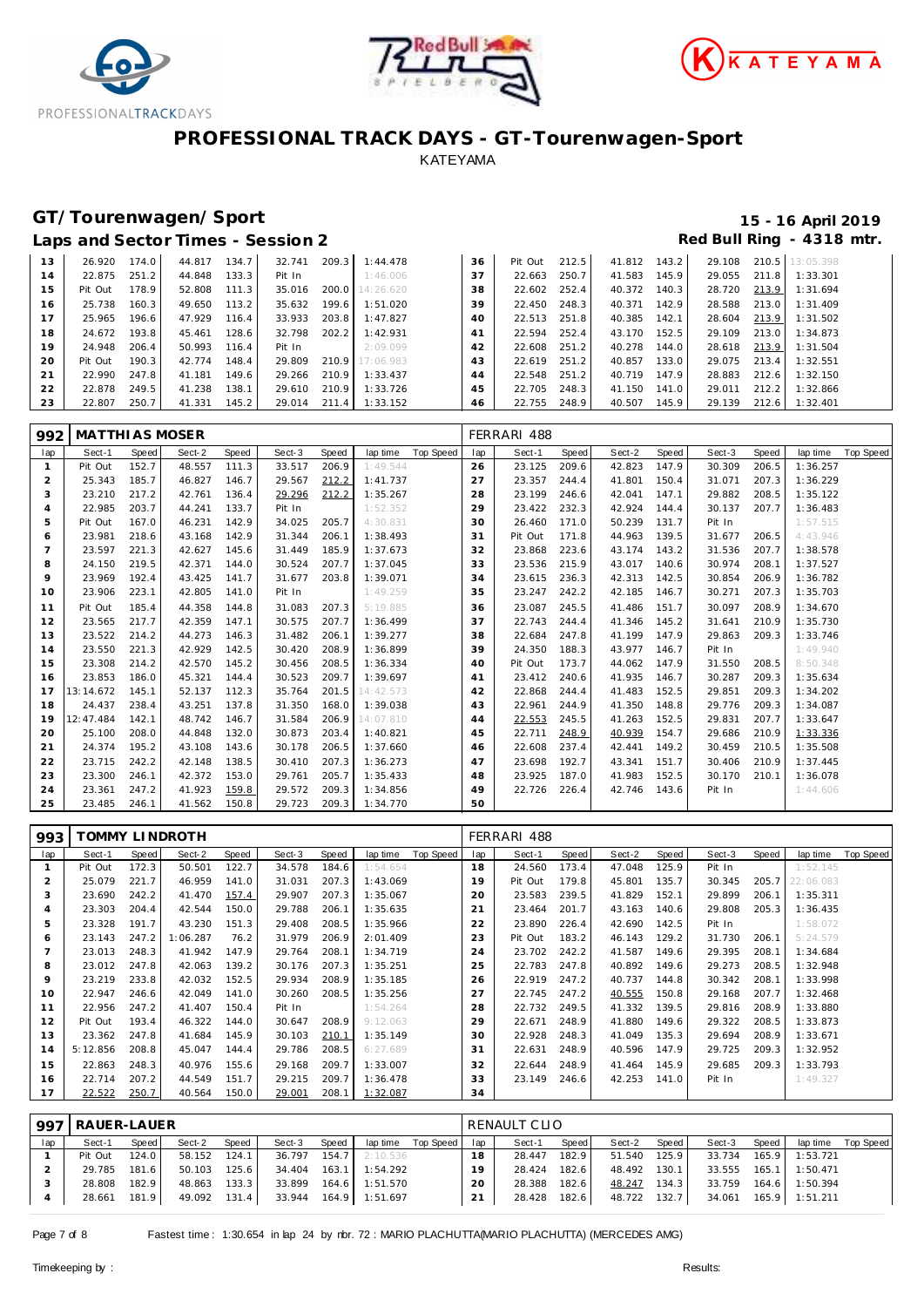





# **GT/Tourenwagen/Sport 15 - 16 April 2019**

|  | Laps and Sector Times - Session 2 |  |  | Red Bull Ring - 4318 mtr. |  |
|--|-----------------------------------|--|--|---------------------------|--|
|  |                                   |  |  |                           |  |

| 13 | 26.920  | 174.0 | 44.817 | 134.7 | 32.741 | 209.3 | 1:44.478        | 36 | Pit Out | 212.5 | 41.812 | 143.2 | 29.108 | 210.5 | 13:05.398 |
|----|---------|-------|--------|-------|--------|-------|-----------------|----|---------|-------|--------|-------|--------|-------|-----------|
| 14 | 22.875  | 251.2 | 44.848 | 133.3 | Pit In |       | 1:46.006        | 37 | 22.663  | 250.7 | 41.583 | 145.9 | 29.055 | 211.8 | 1:33.301  |
| 15 | Pit Out | 178.9 | 52.808 | 111.3 | 35.016 |       | 200.0 14:26.620 | 38 | 22.602  | 252.4 | 40.372 | 140.3 | 28.720 | 213.9 | 1:31.694  |
| 16 | 25.738  | 160.3 | 49.650 | 113.2 | 35.632 | 199.6 | 1:51.020        | 39 | 22.450  | 248.3 | 40.371 | 142.9 | 28.588 | 213.0 | 1:31.409  |
| 17 | 25.965  | 196.6 | 47.929 | 116.4 | 33.933 | 203.8 | 1:47.827        | 40 | 22.513  | 251.8 | 40.385 | 142.1 | 28.604 | 213.9 | 1:31.502  |
| 18 | 24.672  | 193.8 | 45.461 | 128.6 | 32.798 | 202.2 | 1:42.931        | 41 | 22.594  | 252.4 | 43.170 | 152.5 | 29.109 | 213.0 | 1:34.873  |
| 19 | 24.948  | 206.4 | 50.993 | 116.4 | Pit In |       | 2:09.099        | 42 | 22.608  | 251.2 | 40.278 | 144.0 | 28.618 | 213.9 | 1:31.504  |
| 20 | Pit Out | 190.3 | 42.774 | 148.4 | 29.809 |       | 210.9 17:06.983 | 43 | 22.619  | 251.2 | 40.857 | 133.0 | 29.075 | 213.4 | 1:32.551  |
| 21 | 22.990  | 247.8 | 41.181 | 149.6 | 29.266 | 210.9 | 1:33.437        | 44 | 22.548  | 251.2 | 40.719 | 147.9 | 28.883 | 212.6 | 1:32.150  |
| 22 | 22.878  | 249.5 | 41.238 | 138.1 | 29.610 | 210.9 | 1:33.726        | 45 | 22.705  | 248.3 | 41.150 | 141.0 | 29.011 | 212.2 | 1:32.866  |
| 23 | 22.807  | 250.7 | 41.331 | 145.2 | 29.014 | 211.4 | 1:33.152        | 46 | 22.755  | 248.9 | 40.507 | 145.9 | 29.139 | 212.6 | 1:32.401  |
|    |         |       |        |       |        |       |                 |    |         |       |        |       |        |       |           |

| 992            | <b>MATTHI AS MOSER</b> |       |        |       |        |       |           |           |     | FERRARI 488 |       |        |       |        |       |          |                    |
|----------------|------------------------|-------|--------|-------|--------|-------|-----------|-----------|-----|-------------|-------|--------|-------|--------|-------|----------|--------------------|
| lap            | Sect-1                 | Speed | Sect-2 | Speed | Sect-3 | Speed | lap time  | Top Speed | lap | Sect-1      | Speed | Sect-2 | Speed | Sect-3 | Speed |          | lap time Top Speed |
| $\mathbf{1}$   | Pit Out                | 152.7 | 48.557 | 111.3 | 33.517 | 206.9 | 1:49.544  |           | 26  | 23.125      | 209.6 | 42.823 | 147.9 | 30.309 | 206.5 | 1:36.257 |                    |
| $\overline{2}$ | 25.343                 | 185.7 | 46.827 | 146.7 | 29.567 | 212.2 | 1:41.737  |           | 27  | 23.357      | 244.4 | 41.801 | 150.4 | 31.071 | 207.3 | 1:36.229 |                    |
| 3              | 23.210                 | 217.2 | 42.761 | 136.4 | 29.296 | 212.2 | 1:35.267  |           | 28  | 23.199      | 246.6 | 42.041 | 147.1 | 29.882 | 208.5 | 1:35.122 |                    |
| $\overline{4}$ | 22.985                 | 203.7 | 44.241 | 133.7 | Pit In |       | 1:52.352  |           | 29  | 23.422      | 232.3 | 42.924 | 144.4 | 30.137 | 207.7 | 1:36.483 |                    |
| 5              | Pit Out                | 167.0 | 46.231 | 142.9 | 34.025 | 205.7 | 4:30.831  |           | 30  | 26.460      | 171.0 | 50.239 | 131.7 | Pit In |       | 1:57.515 |                    |
| 6              | 23.981                 | 218.6 | 43.168 | 142.9 | 31.344 | 206.1 | 1:38.493  |           | 31  | Pit Out     | 171.8 | 44.963 | 139.5 | 31.677 | 206.5 | 4:43.946 |                    |
| $\overline{7}$ | 23.597                 | 221.3 | 42.627 | 145.6 | 31.449 | 185.9 | 1:37.673  |           | 32  | 23.868      | 223.6 | 43.174 | 143.2 | 31.536 | 207.7 | 1:38.578 |                    |
| 8              | 24.150                 | 219.5 | 42.371 | 144.0 | 30.524 | 207.7 | 1:37.045  |           | 33  | 23.536      | 215.9 | 43.017 | 140.6 | 30.974 | 208.1 | 1:37.527 |                    |
| 9              | 23.969                 | 192.4 | 43.425 | 141.7 | 31.677 | 203.8 | 1:39.071  |           | 34  | 23.615      | 236.3 | 42.313 | 142.5 | 30.854 | 206.9 | 1:36.782 |                    |
| 10             | 23.906                 | 223.1 | 42.805 | 141.0 | Pit In |       | 1:49.259  |           | 35  | 23.247      | 242.2 | 42.185 | 146.7 | 30.271 | 207.3 | 1:35.703 |                    |
| 11             | Pit Out                | 185.4 | 44.358 | 144.8 | 31.083 | 207.3 | 5:19.885  |           | 36  | 23.087      | 245.5 | 41.486 | 151.7 | 30.097 | 208.9 | 1:34.670 |                    |
| 12             | 23.565                 | 217.7 | 42.359 | 147.1 | 30.575 | 207.7 | 1:36.499  |           | 37  | 22.743      | 244.4 | 41.346 | 145.2 | 31.641 | 210.9 | 1:35.730 |                    |
| 13             | 23.522                 | 214.2 | 44.273 | 146.3 | 31.482 | 206.1 | 1:39.277  |           | 38  | 22.684      | 247.8 | 41.199 | 147.9 | 29.863 | 209.3 | 1:33.746 |                    |
| 14             | 23.550                 | 221.3 | 42.929 | 142.5 | 30.420 | 208.9 | 1:36.899  |           | 39  | 24.350      | 188.3 | 43.977 | 146.7 | Pit In |       | 1:49.940 |                    |
| 15             | 23.308                 | 214.2 | 42.570 | 145.2 | 30.456 | 208.5 | 1:36.334  |           | 40  | Pit Out     | 173.7 | 44.062 | 147.9 | 31.550 | 208.5 | 8:50.348 |                    |
| 16             | 23.853                 | 186.0 | 45.321 | 144.4 | 30.523 | 209.7 | 1:39.697  |           | 41  | 23.412      | 240.6 | 41.935 | 146.7 | 30.287 | 209.3 | 1:35.634 |                    |
| 17             | 13:14.672              | 145.1 | 52.137 | 112.3 | 35.764 | 201.5 | 14:42.573 |           | 42  | 22.868      | 244.4 | 41.483 | 152.5 | 29.851 | 209.3 | 1:34.202 |                    |
| 18             | 24.437                 | 238.4 | 43.251 | 137.8 | 31.350 | 168.0 | 1:39.038  |           | 43  | 22.961      | 244.9 | 41.350 | 148.8 | 29.776 | 209.3 | 1:34.087 |                    |
| 19             | 12:47.484              | 142.1 | 48.742 | 146.7 | 31.584 | 206.9 | 14:07.810 |           | 44  | 22.553      | 245.5 | 41.263 | 152.5 | 29.831 | 207.7 | 1:33.647 |                    |
| 20             | 25.100                 | 208.0 | 44.848 | 132.0 | 30.873 | 203.4 | 1:40.821  |           | 45  | 22.711      | 248.9 | 40.939 | 154.7 | 29.686 | 210.9 | 1:33.336 |                    |
| 21             | 24.374                 | 195.2 | 43.108 | 143.6 | 30.178 | 206.5 | 1:37.660  |           | 46  | 22.608      | 237.4 | 42.441 | 149.2 | 30.459 | 210.5 | 1:35.508 |                    |
| 22             | 23.715                 | 242.2 | 42.148 | 138.5 | 30.410 | 207.3 | 1:36.273  |           | 47  | 23.698      | 192.7 | 43.341 | 151.7 | 30.406 | 210.9 | 1:37.445 |                    |
| 23             | 23.300                 | 246.1 | 42.372 | 153.0 | 29.761 | 205.7 | 1:35.433  |           | 48  | 23.925      | 187.0 | 41.983 | 152.5 | 30.170 | 210.1 | 1:36.078 |                    |
| 24             | 23.361                 | 247.2 | 41.923 | 159.8 | 29.572 | 209.3 | 1:34.856  |           | 49  | 22.726      | 226.4 | 42.746 | 143.6 | Pit In |       | 1:44.606 |                    |
| 25             | 23.485                 | 246.1 | 41.562 | 150.8 | 29.723 | 209.3 | 1:34.770  |           | 50  |             |       |        |       |        |       |          |                    |

| 993            |          |       | TOMMY LINDROTH |       |        |       |          |           |     | FERRARI 488 |       |        |       |        |       |           |           |
|----------------|----------|-------|----------------|-------|--------|-------|----------|-----------|-----|-------------|-------|--------|-------|--------|-------|-----------|-----------|
| lap            | Sect-1   | Speed | Sect-2         | Speed | Sect-3 | Speed | lap time | Top Speed | lap | Sect-1      | Speed | Sect-2 | Speed | Sect-3 | Speed | lap time  | Top Speed |
| 1              | Pit Out  | 172.3 | 50.501         | 122.7 | 34.578 | 184.6 | 1:54.654 |           | 18  | 24.560      | 173.4 | 47.048 | 125.9 | Pit In |       | 1:52.145  |           |
| $\overline{2}$ | 25.079   | 221.7 | 46.959         | 141.0 | 31.031 | 207.3 | 1:43.069 |           | 19  | Pit Out     | 179.8 | 45.801 | 135.7 | 30.345 | 205.7 | 22:06.083 |           |
| 3              | 23.690   | 242.2 | 41.470         | 157.4 | 29.907 | 207.3 | 1:35.067 |           | 20  | 23.583      | 239.5 | 41.829 | 152.1 | 29.899 | 206.1 | 1:35.311  |           |
| $\overline{4}$ | 23.303   | 204.4 | 42.544         | 150.0 | 29.788 | 206.1 | 1:35.635 |           | 21  | 23.464      | 201.7 | 43.163 | 140.6 | 29.808 | 205.3 | 1:36.435  |           |
| 5              | 23.328   | 191.7 | 43.230         | 151.3 | 29.408 | 208.5 | 1:35.966 |           | 22  | 23.890      | 226.4 | 42.690 | 142.5 | Pit In |       | 1:58.072  |           |
| 6              | 23.143   | 247.2 | 1:06.287       | 76.2  | 31.979 | 206.9 | 2:01.409 |           | 23  | Pit Out     | 183.2 | 46.143 | 129.2 | 31.730 | 206.1 | 5:24.579  |           |
|                | 23.013   | 248.3 | 41.942         | 147.9 | 29.764 | 208.1 | 1:34.719 |           | 24  | 23.702      | 242.2 | 41.587 | 149.6 | 29.395 | 208.1 | 1:34.684  |           |
| 8              | 23.012   | 247.8 | 42.063         | 139.2 | 30.176 | 207.3 | 1:35.251 |           | 25  | 22.783      | 247.8 | 40.892 | 149.6 | 29.273 | 208.5 | 1:32.948  |           |
| 9              | 23.219   | 233.8 | 42.032         | 152.5 | 29.934 | 208.9 | 1:35.185 |           | 26  | 22.919      | 247.2 | 40.737 | 144.8 | 30.342 | 208.1 | 1:33.998  |           |
| 10             | 22.947   | 246.6 | 42.049         | 141.0 | 30.260 | 208.5 | 1:35.256 |           | 27  | 22.745      | 247.2 | 40.555 | 150.8 | 29.168 | 207.7 | 1:32.468  |           |
| 11             | 22.956   | 247.2 | 41.407         | 150.4 | Pit In |       | 1:54.264 |           | 28  | 22.732      | 249.5 | 41.332 | 139.5 | 29.816 | 208.9 | 1:33.880  |           |
| 12             | Pit Out  | 193.4 | 46.322         | 144.0 | 30.647 | 208.9 | 9:12.063 |           | 29  | 22.671      | 248.9 | 41.880 | 149.6 | 29.322 | 208.5 | 1:33.873  |           |
| 13             | 23.362   | 247.8 | 41.684         | 145.9 | 30.103 | 210.1 | 1:35.149 |           | 30  | 22.928      | 248.3 | 41.049 | 135.3 | 29.694 | 208.9 | 1:33.671  |           |
| 14             | 5:12.856 | 208.8 | 45.047         | 144.4 | 29.786 | 208.5 | 6:27.689 |           | 31  | 22.631      | 248.9 | 40.596 | 147.9 | 29.725 | 209.3 | 1:32.952  |           |
| 15             | 22.863   | 248.3 | 40.976         | 155.6 | 29.168 | 209.7 | 1:33.007 |           | 32  | 22.644      | 248.9 | 41.464 | 145.9 | 29.685 | 209.3 | 1:33.793  |           |
| 16             | 22.714   | 207.2 | 44.549         | 151.7 | 29.215 | 209.7 | 1:36.478 |           | 33  | 23.149      | 246.6 | 42.253 | 141.0 | Pit In |       | 1:49.327  |           |
| 17             | 22.522   | 250.7 | 40.564         | 150.0 | 29.001 | 208.1 | 1:32.087 |           | 34  |             |       |        |       |        |       |           |           |

| 997 | RAUER-LAUER |       |        |       |        |       |                |             | RENAULT CLIO |        |       |        |       |        |       |                |           |  |
|-----|-------------|-------|--------|-------|--------|-------|----------------|-------------|--------------|--------|-------|--------|-------|--------|-------|----------------|-----------|--|
| lap | Sect-1      | Speed | Sect-2 | Speed | Sect-3 | Speed | lap time       | Top Speed I | lap          | Sect-1 | Speed | Sect-2 | Speed | Sect-3 | Speed | lap time       | Top Speed |  |
|     | Pit Out     | 124.0 | 58.152 | 124.1 | 36.797 | 154.7 | 2:10.536       |             | 18           | 28.447 | 182.9 | 51.540 | 125.9 | 33.734 | 165.9 | 1:53.721       |           |  |
|     | 29.785      | 181.6 | 50.103 | 125.6 | 34.404 | 163.1 | 1:54.292       |             | 1 Q          | 28.424 | 182.6 | 48.492 | 130.1 | 33.555 | 165.1 | 1:50.471       |           |  |
|     | 28.808      | 182.9 | 48.863 | 133.3 | 33.899 | 164.6 | 1:51.570       |             | 20           | 28.388 | 182.6 | 48.247 | 134.3 | 33.759 |       | 164.6 1:50.394 |           |  |
|     | 28.661      | 181.9 | 49.092 | 131.4 | 33.944 |       | 164.9 1:51.697 |             | 21           | 28.428 | 182.6 | 48.722 | 132.7 | 34.061 |       | 165.9 1:51.211 |           |  |

Page 7 of 8 Fastest time : 1:30.654 in lap 24 by nbr. 72 : MARIO PLACHUTTA(MARIO PLACHUTTA) (MERCEDES AMG)